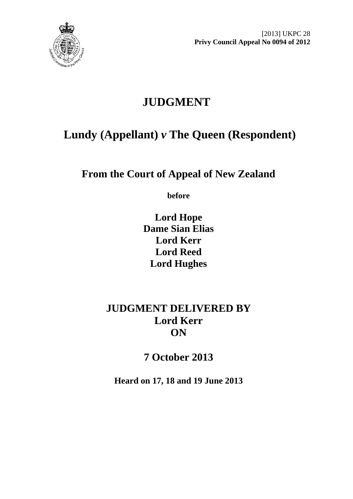

 [2013] UKPC 28 **Privy Council Appeal No 0094 of 2012** 

# **JUDGMENT**

## **Lundy (Appellant)** *v* **The Queen (Respondent)**

**From the Court of Appeal of New Zealand** 

**before** 

**Lord Hope Dame Sian Elias Lord Kerr Lord Reed Lord Hughes**

## **JUDGMENT DELIVERED BY Lord Kerr ON**

**7 October 2013**

**Heard on 17, 18 and 19 June 2013**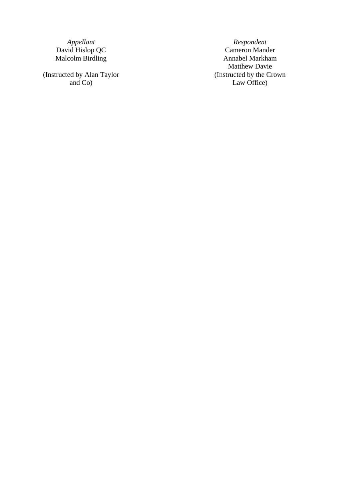(Instructed by Alan Taylor and Co)

*Appellant Respondent*  David Hislop QC **Cameron Mander** Malcolm Birdling and a state of the Markham Annabel Markham Matthew Davie<br>(Instructed by the Crown Law Office)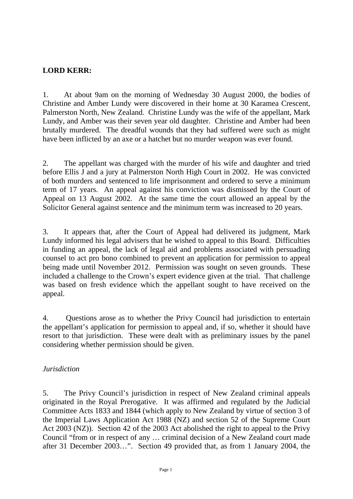#### **LORD KERR:**

1. At about 9am on the morning of Wednesday 30 August 2000, the bodies of Christine and Amber Lundy were discovered in their home at 30 Karamea Crescent, Palmerston North, New Zealand. Christine Lundy was the wife of the appellant, Mark Lundy, and Amber was their seven year old daughter. Christine and Amber had been brutally murdered. The dreadful wounds that they had suffered were such as might have been inflicted by an axe or a hatchet but no murder weapon was ever found.

2. The appellant was charged with the murder of his wife and daughter and tried before Ellis J and a jury at Palmerston North High Court in 2002. He was convicted of both murders and sentenced to life imprisonment and ordered to serve a minimum term of 17 years. An appeal against his conviction was dismissed by the Court of Appeal on 13 August 2002. At the same time the court allowed an appeal by the Solicitor General against sentence and the minimum term was increased to 20 years.

3. It appears that, after the Court of Appeal had delivered its judgment, Mark Lundy informed his legal advisers that he wished to appeal to this Board. Difficulties in funding an appeal, the lack of legal aid and problems associated with persuading counsel to act pro bono combined to prevent an application for permission to appeal being made until November 2012. Permission was sought on seven grounds. These included a challenge to the Crown's expert evidence given at the trial. That challenge was based on fresh evidence which the appellant sought to have received on the appeal.

4. Questions arose as to whether the Privy Council had jurisdiction to entertain the appellant's application for permission to appeal and, if so, whether it should have resort to that jurisdiction. These were dealt with as preliminary issues by the panel considering whether permission should be given.

#### *Jurisdiction*

5. The Privy Council's jurisdiction in respect of New Zealand criminal appeals originated in the Royal Prerogative. It was affirmed and regulated by the Judicial Committee Acts 1833 and 1844 (which apply to New Zealand by virtue of section 3 of the Imperial Laws Application Act 1988 (NZ) and section 52 of the Supreme Court Act 2003 (NZ)). Section 42 of the 2003 Act abolished the right to appeal to the Privy Council "from or in respect of any … criminal decision of a New Zealand court made after 31 December 2003…". Section 49 provided that, as from 1 January 2004, the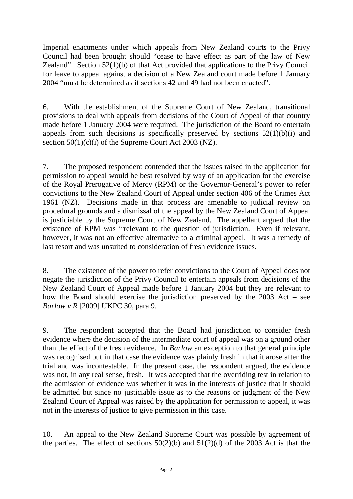Imperial enactments under which appeals from New Zealand courts to the Privy Council had been brought should "cease to have effect as part of the law of New Zealand". Section  $52(1)(b)$  of that Act provided that applications to the Privy Council for leave to appeal against a decision of a New Zealand court made before 1 January 2004 "must be determined as if sections 42 and 49 had not been enacted".

6. With the establishment of the Supreme Court of New Zealand, transitional provisions to deal with appeals from decisions of the Court of Appeal of that country made before 1 January 2004 were required. The jurisdiction of the Board to entertain appeals from such decisions is specifically preserved by sections  $52(1)(b)(i)$  and section 50(1)(c)(i) of the Supreme Court Act 2003 (NZ).

7. The proposed respondent contended that the issues raised in the application for permission to appeal would be best resolved by way of an application for the exercise of the Royal Prerogative of Mercy (RPM) or the Governor-General's power to refer convictions to the New Zealand Court of Appeal under section 406 of the Crimes Act 1961 (NZ). Decisions made in that process are amenable to judicial review on procedural grounds and a dismissal of the appeal by the New Zealand Court of Appeal is justiciable by the Supreme Court of New Zealand. The appellant argued that the existence of RPM was irrelevant to the question of jurisdiction. Even if relevant, however, it was not an effective alternative to a criminal appeal. It was a remedy of last resort and was unsuited to consideration of fresh evidence issues.

8. The existence of the power to refer convictions to the Court of Appeal does not negate the jurisdiction of the Privy Council to entertain appeals from decisions of the New Zealand Court of Appeal made before 1 January 2004 but they are relevant to how the Board should exercise the jurisdiction preserved by the 2003 Act – see *Barlow v R* [2009] UKPC 30, para 9.

9. The respondent accepted that the Board had jurisdiction to consider fresh evidence where the decision of the intermediate court of appeal was on a ground other than the effect of the fresh evidence. In *Barlow* an exception to that general principle was recognised but in that case the evidence was plainly fresh in that it arose after the trial and was incontestable. In the present case, the respondent argued, the evidence was not, in any real sense, fresh. It was accepted that the overriding test in relation to the admission of evidence was whether it was in the interests of justice that it should be admitted but since no justiciable issue as to the reasons or judgment of the New Zealand Court of Appeal was raised by the application for permission to appeal, it was not in the interests of justice to give permission in this case.

10. An appeal to the New Zealand Supreme Court was possible by agreement of the parties. The effect of sections  $50(2)(b)$  and  $51(2)(d)$  of the 2003 Act is that the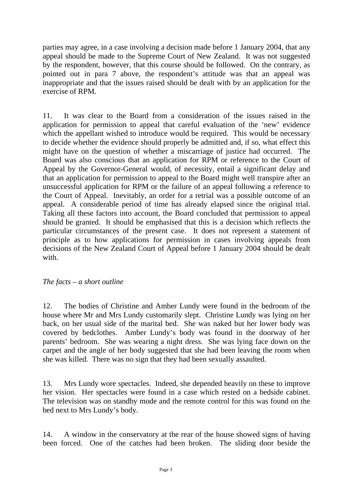parties may agree, in a case involving a decision made before 1 January 2004, that any appeal should be made to the Supreme Court of New Zealand. It was not suggested by the respondent, however, that this course should be followed. On the contrary, as pointed out in para 7 above, the respondent's attitude was that an appeal was inappropriate and that the issues raised should be dealt with by an application for the exercise of RPM.

11. It was clear to the Board from a consideration of the issues raised in the application for permission to appeal that careful evaluation of the 'new' evidence which the appellant wished to introduce would be required. This would be necessary to decide whether the evidence should properly be admitted and, if so, what effect this might have on the question of whether a miscarriage of justice had occurred. The Board was also conscious that an application for RPM or reference to the Court of Appeal by the Governor-General would, of necessity, entail a significant delay and that an application for permission to appeal to the Board might well transpire after an unsuccessful application for RPM or the failure of an appeal following a reference to the Court of Appeal. Inevitably, an order for a retrial was a possible outcome of an appeal. A considerable period of time has already elapsed since the original trial. Taking all these factors into account, the Board concluded that permission to appeal should be granted. It should be emphasised that this is a decision which reflects the particular circumstances of the present case. It does not represent a statement of principle as to how applications for permission in cases involving appeals from decisions of the New Zealand Court of Appeal before 1 January 2004 should be dealt with.

### *The facts – a short outline*

12. The bodies of Christine and Amber Lundy were found in the bedroom of the house where Mr and Mrs Lundy customarily slept. Christine Lundy was lying on her back, on her usual side of the marital bed. She was naked but her lower body was covered by bedclothes. Amber Lundy's body was found in the doorway of her parents' bedroom. She was wearing a night dress. She was lying face down on the carpet and the angle of her body suggested that she had been leaving the room when she was killed. There was no sign that they had been sexually assaulted.

her vision. Her spectacles were found in a case which rested on a bedside cabinet. 13. Mrs Lundy wore spectacles. Indeed, she depended heavily on these to improve The television was on standby mode and the remote control for this was found on the bed next to Mrs Lundy's body.

14. A window in the conservatory at the rear of the house showed signs of having been forced. One of the catches had been broken. The sliding door beside the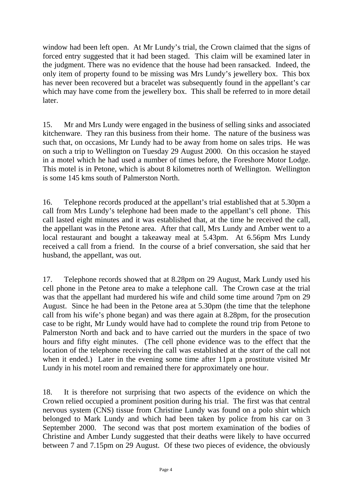window had been left open. At Mr Lundy's trial, the Crown claimed that the signs of forced entry suggested that it had been staged. This claim will be examined later in the judgment. There was no evidence that the house had been ransacked. Indeed, the only item of property found to be missing was Mrs Lundy's jewellery box. This box has never been recovered but a bracelet was subsequently found in the appellant's car which may have come from the jewellery box. This shall be referred to in more detail later.

in a motel which he had used a number of times before, the Foreshore Motor Lodge. is some 145 kms south of Palmerston North. 15. Mr and Mrs Lundy were engaged in the business of selling sinks and associated kitchenware. They ran this business from their home. The nature of the business was such that, on occasions, Mr Lundy had to be away from home on sales trips. He was on such a trip to Wellington on Tuesday 29 August 2000. On this occasion he stayed This motel is in Petone, which is about 8 kilometres north of Wellington. Wellington

16. Telephone records produced at the appellant's trial established that at 5.30pm a call from Mrs Lundy's telephone had been made to the appellant's cell phone. This call lasted eight minutes and it was established that, at the time he received the call, the appellant was in the Petone area. After that call, Mrs Lundy and Amber went to a local restaurant and bought a takeaway meal at 5.43pm. At 6.56pm Mrs Lundy received a call from a friend. In the course of a brief conversation, she said that her husband, the appellant, was out.

17. Telephone records showed that at 8.28pm on 29 August, Mark Lundy used his cell phone in the Petone area to make a telephone call. The Crown case at the trial was that the appellant had murdered his wife and child some time around 7pm on 29 August. Since he had been in the Petone area at 5.30pm (the time that the telephone call from his wife's phone began) and was there again at 8.28pm, for the prosecution case to be right, Mr Lundy would have had to complete the round trip from Petone to Palmerston North and back and to have carried out the murders in the space of two hours and fifty eight minutes. (The cell phone evidence was to the effect that the location of the telephone receiving the call was established at the *start* of the call not when it ended.) Later in the evening some time after 11pm a prostitute visited Mr Lundy in his motel room and remained there for approximately one hour.

18. It is therefore not surprising that two aspects of the evidence on which the Crown relied occupied a prominent position during his trial. The first was that central nervous system (CNS) tissue from Christine Lundy was found on a polo shirt which belonged to Mark Lundy and which had been taken by police from his car on 3 September 2000. The second was that post mortem examination of the bodies of Christine and Amber Lundy suggested that their deaths were likely to have occurred between 7 and 7.15pm on 29 August. Of these two pieces of evidence, the obviously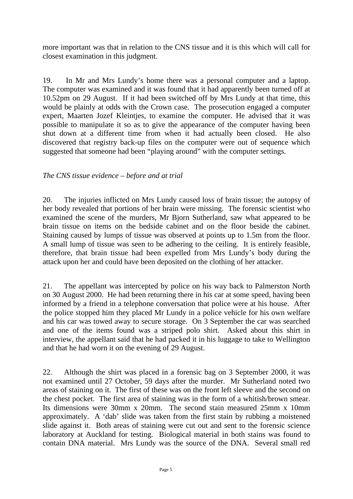more important was that in relation to the CNS tissue and it is this which will call for closest examination in this judgment.

 19. In Mr and Mrs Lundy's home there was a personal computer and a laptop. The computer was examined and it was found that it had apparently been turned off at 10.52pm on 29 August. If it had been switched off by Mrs Lundy at that time, this would be plainly at odds with the Crown case. The prosecution engaged a computer expert, Maarten Jozef Kleintjes, to examine the computer. He advised that it was possible to manipulate it so as to give the appearance of the computer having been shut down at a different time from when it had actually been closed. He also discovered that registry back-up files on the computer were out of sequence which suggested that someone had been "playing around" with the computer settings.

#### *The CNS tissue evidence – before and at trial*

20. The injuries inflicted on Mrs Lundy caused loss of brain tissue; the autopsy of her body revealed that portions of her brain were missing. The forensic scientist who examined the scene of the murders, Mr Bjorn Sutherland, saw what appeared to be brain tissue on items on the bedside cabinet and on the floor beside the cabinet. Staining caused by lumps of tissue was observed at points up to 1.5m from the floor. A small lump of tissue was seen to be adhering to the ceiling. It is entirely feasible, therefore, that brain tissue had been expelled from Mrs Lundy's body during the attack upon her and could have been deposited on the clothing of her attacker.

21. The appellant was intercepted by police on his way back to Palmerston North on 30 August 2000. He had been returning there in his car at some speed, having been informed by a friend in a telephone conversation that police were at his house. After the police stopped him they placed Mr Lundy in a police vehicle for his own welfare and his car was towed away to secure storage. On 3 September the car was searched and one of the items found was a striped polo shirt. Asked about this shirt in interview, the appellant said that he had packed it in his luggage to take to Wellington and that he had worn it on the evening of 29 August.

22. Although the shirt was placed in a forensic bag on 3 September 2000, it was not examined until 27 October, 59 days after the murder. Mr Sutherland noted two areas of staining on it. The first of these was on the front left sleeve and the second on the chest pocket. The first area of staining was in the form of a whitish/brown smear. Its dimensions were 30mm x 20mm. The second stain measured 25mm x 10mm approximately. A 'dab' slide was taken from the first stain by rubbing a moistened slide against it. Both areas of staining were cut out and sent to the forensic science laboratory at Auckland for testing. Biological material in both stains was found to contain DNA material. Mrs Lundy was the source of the DNA. Several small red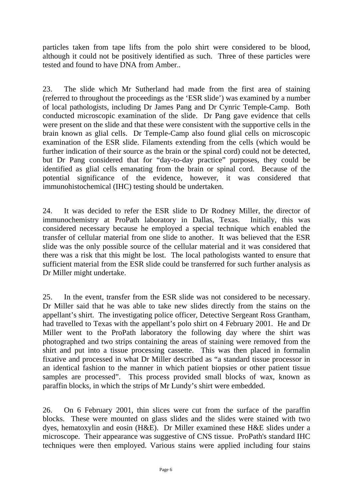particles taken from tape lifts from the polo shirt were considered to be blood, although it could not be positively identified as such. Three of these particles were tested and found to have DNA from Amber..

23. The slide which Mr Sutherland had made from the first area of staining (referred to throughout the proceedings as the 'ESR slide') was examined by a number of local pathologists, including Dr James Pang and Dr Cynric Temple-Camp. Both conducted microscopic examination of the slide. Dr Pang gave evidence that cells were present on the slide and that these were consistent with the supportive cells in the brain known as glial cells. Dr Temple-Camp also found glial cells on microscopic examination of the ESR slide. Filaments extending from the cells (which would be further indication of their source as the brain or the spinal cord) could not be detected, but Dr Pang considered that for "day-to-day practice" purposes, they could be identified as glial cells emanating from the brain or spinal cord. Because of the potential significance of the evidence, however, it was considered that immunohistochemical (IHC) testing should be undertaken.

24. It was decided to refer the ESR slide to Dr Rodney Miller, the director of immunochemistry at ProPath laboratory in Dallas, Texas. Initially, this was considered necessary because he employed a special technique which enabled the transfer of cellular material from one slide to another. It was believed that the ESR slide was the only possible source of the cellular material and it was considered that there was a risk that this might be lost. The local pathologists wanted to ensure that sufficient material from the ESR slide could be transferred for such further analysis as Dr Miller might undertake.

25. In the event, transfer from the ESR slide was not considered to be necessary. Dr Miller said that he was able to take new slides directly from the stains on the appellant's shirt. The investigating police officer, Detective Sergeant Ross Grantham, had travelled to Texas with the appellant's polo shirt on 4 February 2001. He and Dr Miller went to the ProPath laboratory the following day where the shirt was photographed and two strips containing the areas of staining were removed from the shirt and put into a tissue processing cassette. This was then placed in formalin fixative and processed in what Dr Miller described as "a standard tissue processor in an identical fashion to the manner in which patient biopsies or other patient tissue samples are processed". This process provided small blocks of wax, known as paraffin blocks, in which the strips of Mr Lundy's shirt were embedded.

26. On 6 February 2001, thin slices were cut from the surface of the paraffin blocks. These were mounted on glass slides and the slides were stained with two dyes, hematoxylin and eosin (H&E). Dr Miller examined these H&E slides under a microscope. Their appearance was suggestive of CNS tissue. ProPath's standard IHC techniques were then employed. Various stains were applied including four stains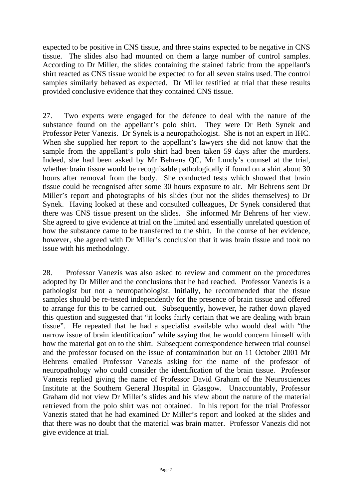expected to be positive in CNS tissue, and three stains expected to be negative in CNS tissue. The slides also had mounted on them a large number of control samples. According to Dr Miller, the slides containing the stained fabric from the appellant's shirt reacted as CNS tissue would be expected to for all seven stains used. The control samples similarly behaved as expected. Dr Miller testified at trial that these results provided conclusive evidence that they contained CNS tissue.

27. Two experts were engaged for the defence to deal with the nature of the substance found on the appellant's polo shirt. They were Dr Beth Synek and Professor Peter Vanezis. Dr Synek is a neuropathologist. She is not an expert in IHC. When she supplied her report to the appellant's lawyers she did not know that the sample from the appellant's polo shirt had been taken 59 days after the murders. Indeed, she had been asked by Mr Behrens QC, Mr Lundy's counsel at the trial, whether brain tissue would be recognisable pathologically if found on a shirt about 30 hours after removal from the body. She conducted tests which showed that brain tissue could be recognised after some 30 hours exposure to air. Mr Behrens sent Dr Miller's report and photographs of his slides (but not the slides themselves) to Dr Synek. Having looked at these and consulted colleagues, Dr Synek considered that there was CNS tissue present on the slides. She informed Mr Behrens of her view. She agreed to give evidence at trial on the limited and essentially unrelated question of how the substance came to be transferred to the shirt. In the course of her evidence, however, she agreed with Dr Miller's conclusion that it was brain tissue and took no issue with his methodology.

28. Professor Vanezis was also asked to review and comment on the procedures adopted by Dr Miller and the conclusions that he had reached. Professor Vanezis is a pathologist but not a neuropathologist. Initially, he recommended that the tissue samples should be re-tested independently for the presence of brain tissue and offered to arrange for this to be carried out. Subsequently, however, he rather down played this question and suggested that "it looks fairly certain that we are dealing with brain tissue". He repeated that he had a specialist available who would deal with "the narrow issue of brain identification" while saying that he would concern himself with how the material got on to the shirt. Subsequent correspondence between trial counsel and the professor focused on the issue of contamination but on 11 October 2001 Mr Behrens emailed Professor Vanezis asking for the name of the professor of neuropathology who could consider the identification of the brain tissue. Professor Vanezis replied giving the name of Professor David Graham of the Neurosciences Institute at the Southern General Hospital in Glasgow. Unaccountably, Professor Graham did not view Dr Miller's slides and his view about the nature of the material retrieved from the polo shirt was not obtained. In his report for the trial Professor Vanezis stated that he had examined Dr Miller's report and looked at the slides and that there was no doubt that the material was brain matter. Professor Vanezis did not give evidence at trial.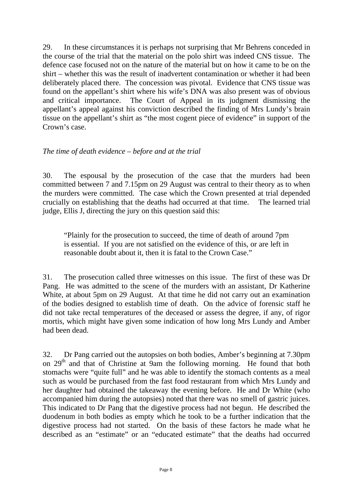29. In these circumstances it is perhaps not surprising that Mr Behrens conceded in the course of the trial that the material on the polo shirt was indeed CNS tissue. The defence case focused not on the nature of the material but on how it came to be on the shirt – whether this was the result of inadvertent contamination or whether it had been deliberately placed there. The concession was pivotal. Evidence that CNS tissue was found on the appellant's shirt where his wife's DNA was also present was of obvious and critical importance. The Court of Appeal in its judgment dismissing the appellant's appeal against his conviction described the finding of Mrs Lundy's brain tissue on the appellant's shirt as "the most cogent piece of evidence" in support of the Crown's case.

#### *The time of death evidence – before and at the trial*

30. The espousal by the prosecution of the case that the murders had been committed between 7 and 7.15pm on 29 August was central to their theory as to when the murders were committed. The case which the Crown presented at trial depended crucially on establishing that the deaths had occurred at that time. The learned trial judge, Ellis J, directing the jury on this question said this:

"Plainly for the prosecution to succeed, the time of death of around 7pm is essential. If you are not satisfied on the evidence of this, or are left in reasonable doubt about it, then it is fatal to the Crown Case."

31. The prosecution called three witnesses on this issue. The first of these was Dr Pang. He was admitted to the scene of the murders with an assistant, Dr Katherine White, at about 5pm on 29 August. At that time he did not carry out an examination of the bodies designed to establish time of death. On the advice of forensic staff he did not take rectal temperatures of the deceased or assess the degree, if any, of rigor mortis, which might have given some indication of how long Mrs Lundy and Amber had been dead.

32. Dr Pang carried out the autopsies on both bodies, Amber's beginning at 7.30pm on  $29<sup>th</sup>$  and that of Christine at 9am the following morning. He found that both stomachs were "quite full" and he was able to identify the stomach contents as a meal such as would be purchased from the fast food restaurant from which Mrs Lundy and her daughter had obtained the takeaway the evening before. He and Dr White (who accompanied him during the autopsies) noted that there was no smell of gastric juices. This indicated to Dr Pang that the digestive process had not begun. He described the duodenum in both bodies as empty which he took to be a further indication that the digestive process had not started. On the basis of these factors he made what he described as an "estimate" or an "educated estimate" that the deaths had occurred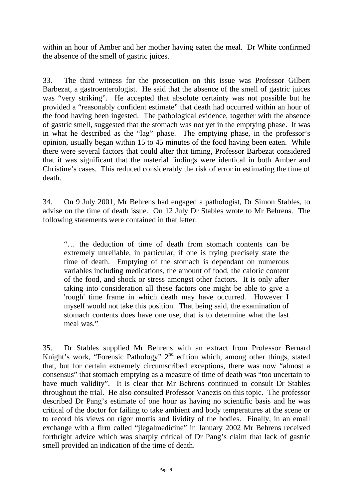within an hour of Amber and her mother having eaten the meal. Dr White confirmed the absence of the smell of gastric juices.

33. The third witness for the prosecution on this issue was Professor Gilbert Barbezat, a gastroenterologist. He said that the absence of the smell of gastric juices was "very striking". He accepted that absolute certainty was not possible but he provided a "reasonably confident estimate" that death had occurred within an hour of the food having been ingested. The pathological evidence, together with the absence of gastric smell, suggested that the stomach was not yet in the emptying phase. It was in what he described as the "lag" phase. The emptying phase, in the professor's opinion, usually began within 15 to 45 minutes of the food having been eaten. While there were several factors that could alter that timing, Professor Barbezat considered that it was significant that the material findings were identical in both Amber and Christine's cases. This reduced considerably the risk of error in estimating the time of death.

34. On 9 July 2001, Mr Behrens had engaged a pathologist, Dr Simon Stables, to advise on the time of death issue. On 12 July Dr Stables wrote to Mr Behrens. The following statements were contained in that letter:

"… the deduction of time of death from stomach contents can be extremely unreliable, in particular, if one is trying precisely state the time of death. Emptying of the stomach is dependant on numerous variables including medications, the amount of food, the caloric content of the food, and shock or stress amongst other factors. It is only after taking into consideration all these factors one might be able to give a 'rough' time frame in which death may have occurred. However I myself would not take this position. That being said, the examination of stomach contents does have one use, that is to determine what the last meal was."

35. Dr Stables supplied Mr Behrens with an extract from Professor Bernard Knight's work, "Forensic Pathology" 2<sup>nd</sup> edition which, among other things, stated that, but for certain extremely circumscribed exceptions, there was now "almost a consensus" that stomach emptying as a measure of time of death was "too uncertain to have much validity". It is clear that Mr Behrens continued to consult Dr Stables throughout the trial. He also consulted Professor Vanezis on this topic. The professor described Dr Pang's estimate of one hour as having no scientific basis and he was critical of the doctor for failing to take ambient and body temperatures at the scene or to record his views on rigor mortis and lividity of the bodies. Finally, in an email exchange with a firm called "jlegalmedicine" in January 2002 Mr Behrens received forthright advice which was sharply critical of Dr Pang's claim that lack of gastric smell provided an indication of the time of death.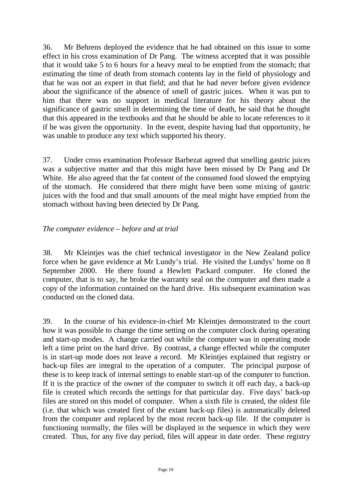36. Mr Behrens deployed the evidence that he had obtained on this issue to some effect in his cross examination of Dr Pang. The witness accepted that it was possible that it would take 5 to 6 hours for a heavy meal to be emptied from the stomach; that estimating the time of death from stomach contents lay in the field of physiology and that he was not an expert in that field; and that he had never before given evidence about the significance of the absence of smell of gastric juices. When it was put to him that there was no support in medical literature for his theory about the significance of gastric smell in determining the time of death, he said that he thought that this appeared in the textbooks and that he should be able to locate references to it if he was given the opportunity. In the event, despite having had that opportunity, he was unable to produce any text which supported his theory.

37. Under cross examination Professor Barbezat agreed that smelling gastric juices was a subjective matter and that this might have been missed by Dr Pang and Dr White. He also agreed that the fat content of the consumed food slowed the emptying of the stomach. He considered that there might have been some mixing of gastric juices with the food and that small amounts of the meal might have emptied from the stomach without having been detected by Dr Pang.

#### *The computer evidence – before and at trial*

38. Mr Kleintjes was the chief technical investigator in the New Zealand police force when he gave evidence at Mr Lundy's trial. He visited the Lundys' home on 8 September 2000. He there found a Hewlett Packard computer. He cloned the computer, that is to say, he broke the warranty seal on the computer and then made a copy of the information contained on the hard drive. His subsequent examination was conducted on the cloned data.

 these is to keep track of internal settings to enable start-up of the computer to function. If it is the practice of the owner of the computer to switch it off each day, a back-up 39. In the course of his evidence-in-chief Mr Kleintjes demonstrated to the court how it was possible to change the time setting on the computer clock during operating and start-up modes. A change carried out while the computer was in operating mode left a time print on the hard drive. By contrast, a change effected while the computer is in start-up mode does not leave a record. Mr Kleintjes explained that registry or back-up files are integral to the operation of a computer. The principal purpose of file is created which records the settings for that particular day. Five days' back-up files are stored on this model of computer. When a sixth file is created, the oldest file (i.e. that which was created first of the extant back-up files) is automatically deleted from the computer and replaced by the most recent back-up file. If the computer is functioning normally, the files will be displayed in the sequence in which they were created. Thus, for any five day period, files will appear in date order. These registry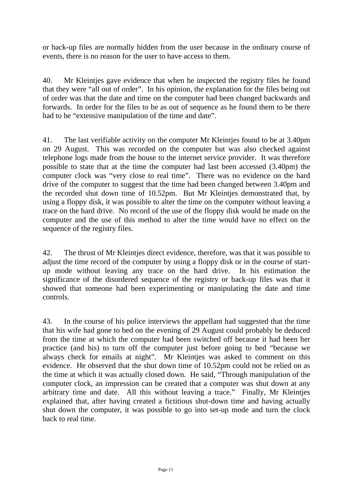or back-up files are normally hidden from the user because in the ordinary course of events, there is no reason for the user to have access to them.

40. Mr Kleintjes gave evidence that when he inspected the registry files he found that they were "all out of order". In his opinion, the explanation for the files being out of order was that the date and time on the computer had been changed backwards and forwards. In order for the files to be as out of sequence as he found them to be there had to be "extensive manipulation of the time and date".

41. The last verifiable activity on the computer Mr Kleintjes found to be at 3.40pm on 29 August. This was recorded on the computer but was also checked against telephone logs made from the house to the internet service provider. It was therefore possible to state that at the time the computer had last been accessed (3.40pm) the computer clock was "very close to real time". There was no evidence on the hard drive of the computer to suggest that the time had been changed between 3.40pm and the recorded shut down time of 10.52pm. But Mr Kleintjes demonstrated that, by using a floppy disk, it was possible to alter the time on the computer without leaving a trace on the hard drive. No record of the use of the floppy disk would be made on the computer and the use of this method to alter the time would have no effect on the sequence of the registry files.

42. The thrust of Mr Kleintjes direct evidence, therefore, was that it was possible to adjust the time record of the computer by using a floppy disk or in the course of startup mode without leaving any trace on the hard drive. In his estimation the significance of the disordered sequence of the registry or back-up files was that it showed that someone had been experimenting or manipulating the date and time controls.

43. In the course of his police interviews the appellant had suggested that the time that his wife had gone to bed on the evening of 29 August could probably be deduced from the time at which the computer had been switched off because it had been her practice (and his) to turn off the computer just before going to bed "because we always check for emails at night". Mr Kleintjes was asked to comment on this evidence. He observed that the shut down time of 10.52pm could not be relied on as the time at which it was actually closed down. He said, "Through manipulation of the computer clock, an impression can be created that a computer was shut down at any arbitrary time and date. All this without leaving a trace." Finally, Mr Kleintjes explained that, after having created a fictitious shut-down time and having actually shut down the computer, it was possible to go into set-up mode and turn the clock back to real time.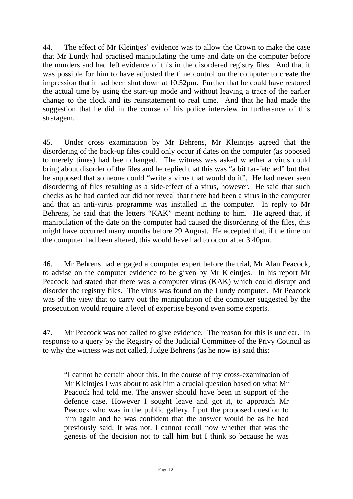44. The effect of Mr Kleintjes' evidence was to allow the Crown to make the case that Mr Lundy had practised manipulating the time and date on the computer before the murders and had left evidence of this in the disordered registry files. And that it was possible for him to have adjusted the time control on the computer to create the impression that it had been shut down at 10.52pm. Further that he could have restored the actual time by using the start-up mode and without leaving a trace of the earlier change to the clock and its reinstatement to real time. And that he had made the suggestion that he did in the course of his police interview in furtherance of this stratagem.

45. Under cross examination by Mr Behrens, Mr Kleintjes agreed that the disordering of the back-up files could only occur if dates on the computer (as opposed to merely times) had been changed. The witness was asked whether a virus could bring about disorder of the files and he replied that this was "a bit far-fetched" but that he supposed that someone could "write a virus that would do it". He had never seen disordering of files resulting as a side-effect of a virus, however. He said that such checks as he had carried out did not reveal that there had been a virus in the computer and that an anti-virus programme was installed in the computer. In reply to Mr Behrens, he said that the letters "KAK" meant nothing to him. He agreed that, if manipulation of the date on the computer had caused the disordering of the files, this might have occurred many months before 29 August. He accepted that, if the time on the computer had been altered, this would have had to occur after 3.40pm.

46. Mr Behrens had engaged a computer expert before the trial, Mr Alan Peacock, to advise on the computer evidence to be given by Mr Kleintjes. In his report Mr Peacock had stated that there was a computer virus (KAK) which could disrupt and disorder the registry files. The virus was found on the Lundy computer. Mr Peacock was of the view that to carry out the manipulation of the computer suggested by the prosecution would require a level of expertise beyond even some experts.

47. Mr Peacock was not called to give evidence. The reason for this is unclear. In response to a query by the Registry of the Judicial Committee of the Privy Council as to why the witness was not called, Judge Behrens (as he now is) said this:

"I cannot be certain about this. In the course of my cross-examination of Mr Kleintjes I was about to ask him a crucial question based on what Mr Peacock had told me. The answer should have been in support of the defence case. However I sought leave and got it, to approach Mr Peacock who was in the public gallery. I put the proposed question to him again and he was confident that the answer would be as he had previously said. It was not. I cannot recall now whether that was the genesis of the decision not to call him but I think so because he was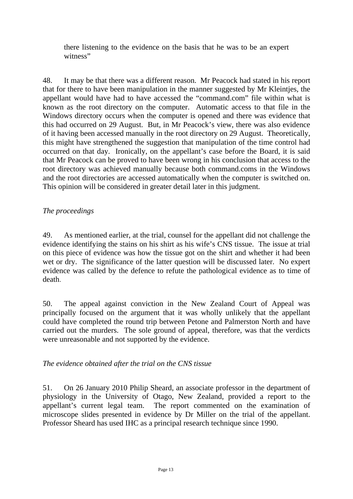there listening to the evidence on the basis that he was to be an expert witness"

 This opinion will be considered in greater detail later in this judgment. 48. It may be that there was a different reason. Mr Peacock had stated in his report that for there to have been manipulation in the manner suggested by Mr Kleintjes, the appellant would have had to have accessed the "command.com" file within what is known as the root directory on the computer. Automatic access to that file in the Windows directory occurs when the computer is opened and there was evidence that this had occurred on 29 August. But, in Mr Peacock's view, there was also evidence of it having been accessed manually in the root directory on 29 August. Theoretically, this might have strengthened the suggestion that manipulation of the time control had occurred on that day. Ironically, on the appellant's case before the Board, it is said that Mr Peacock can be proved to have been wrong in his conclusion that access to the root directory was achieved manually because both command.coms in the Windows and the root directories are accessed automatically when the computer is switched on.

### *The proceedings*

49. As mentioned earlier, at the trial, counsel for the appellant did not challenge the evidence identifying the stains on his shirt as his wife's CNS tissue. The issue at trial on this piece of evidence was how the tissue got on the shirt and whether it had been wet or dry. The significance of the latter question will be discussed later. No expert evidence was called by the defence to refute the pathological evidence as to time of death.

50. The appeal against conviction in the New Zealand Court of Appeal was principally focused on the argument that it was wholly unlikely that the appellant could have completed the round trip between Petone and Palmerston North and have carried out the murders. The sole ground of appeal, therefore, was that the verdicts were unreasonable and not supported by the evidence.

### *The evidence obtained after the trial on the CNS tissue*

51. On 26 January 2010 Philip Sheard, an associate professor in the department of physiology in the University of Otago, New Zealand, provided a report to the appellant's current legal team. The report commented on the examination of microscope slides presented in evidence by Dr Miller on the trial of the appellant. Professor Sheard has used IHC as a principal research technique since 1990.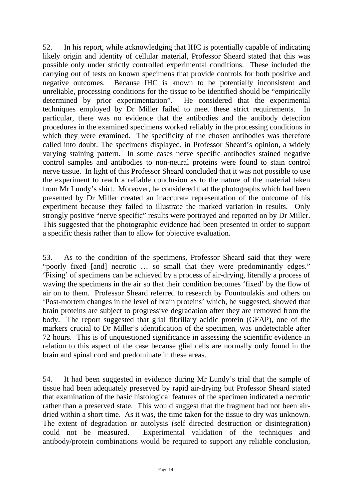52. In his report, while acknowledging that IHC is potentially capable of indicating likely origin and identity of cellular material, Professor Sheard stated that this was possible only under strictly controlled experimental conditions. These included the carrying out of tests on known specimens that provide controls for both positive and negative outcomes. Because IHC is known to be potentially inconsistent and unreliable, processing conditions for the tissue to be identified should be "empirically determined by prior experimentation". He considered that the experimental techniques employed by Dr Miller failed to meet these strict requirements. In particular, there was no evidence that the antibodies and the antibody detection procedures in the examined specimens worked reliably in the processing conditions in which they were examined. The specificity of the chosen antibodies was therefore called into doubt. The specimens displayed, in Professor Sheard's opinion, a widely varying staining pattern. In some cases nerve specific antibodies stained negative control samples and antibodies to non-neural proteins were found to stain control nerve tissue. In light of this Professor Sheard concluded that it was not possible to use the experiment to reach a reliable conclusion as to the nature of the material taken from Mr Lundy's shirt. Moreover, he considered that the photographs which had been presented by Dr Miller created an inaccurate representation of the outcome of his experiment because they failed to illustrate the marked variation in results. Only strongly positive "nerve specific" results were portrayed and reported on by Dr Miller. This suggested that the photographic evidence had been presented in order to support a specific thesis rather than to allow for objective evaluation.

53. As to the condition of the specimens, Professor Sheard said that they were "poorly fixed [and] necrotic … so small that they were predominantly edges." 'Fixing' of specimens can be achieved by a process of air-drying, literally a process of waving the specimens in the air so that their condition becomes 'fixed' by the flow of air on to them. Professor Sheard referred to research by Fountoulakis and others on 'Post-mortem changes in the level of brain proteins' which, he suggested, showed that brain proteins are subject to progressive degradation after they are removed from the body. The report suggested that glial fibrillary acidic protein (GFAP), one of the markers crucial to Dr Miller's identification of the specimen, was undetectable after 72 hours. This is of unquestioned significance in assessing the scientific evidence in relation to this aspect of the case because glial cells are normally only found in the brain and spinal cord and predominate in these areas.

54. It had been suggested in evidence during Mr Lundy's trial that the sample of tissue had been adequately preserved by rapid air-drying but Professor Sheard stated that examination of the basic histological features of the specimen indicated a necrotic rather than a preserved state. This would suggest that the fragment had not been airdried within a short time. As it was, the time taken for the tissue to dry was unknown. The extent of degradation or autolysis (self directed destruction or disintegration) could not be measured. Experimental validation of the techniques and antibody/protein combinations would be required to support any reliable conclusion,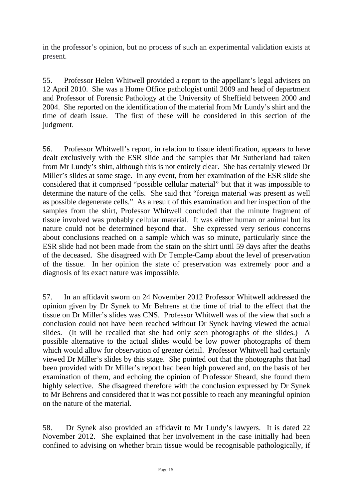present. in the professor's opinion, but no process of such an experimental validation exists at

55. Professor Helen Whitwell provided a report to the appellant's legal advisers on 12 April 2010. She was a Home Office pathologist until 2009 and head of department and Professor of Forensic Pathology at the University of Sheffield between 2000 and 2004. She reported on the identification of the material from Mr Lundy's shirt and the time of death issue. The first of these will be considered in this section of the judgment.

56. Professor Whitwell's report, in relation to tissue identification, appears to have dealt exclusively with the ESR slide and the samples that Mr Sutherland had taken from Mr Lundy's shirt, although this is not entirely clear. She has certainly viewed Dr Miller's slides at some stage. In any event, from her examination of the ESR slide she considered that it comprised "possible cellular material" but that it was impossible to determine the nature of the cells. She said that "foreign material was present as well as possible degenerate cells." As a result of this examination and her inspection of the samples from the shirt, Professor Whitwell concluded that the minute fragment of tissue involved was probably cellular material. It was either human or animal but its nature could not be determined beyond that. She expressed very serious concerns about conclusions reached on a sample which was so minute, particularly since the ESR slide had not been made from the stain on the shirt until 59 days after the deaths of the deceased. She disagreed with Dr Temple-Camp about the level of preservation of the tissue. In her opinion the state of preservation was extremely poor and a diagnosis of its exact nature was impossible.

57. In an affidavit sworn on 24 November 2012 Professor Whitwell addressed the opinion given by Dr Synek to Mr Behrens at the time of trial to the effect that the tissue on Dr Miller's slides was CNS. Professor Whitwell was of the view that such a conclusion could not have been reached without Dr Synek having viewed the actual slides. (It will be recalled that she had only seen photographs of the slides.) A possible alternative to the actual slides would be low power photographs of them which would allow for observation of greater detail. Professor Whitwell had certainly viewed Dr Miller's slides by this stage. She pointed out that the photographs that had been provided with Dr Miller's report had been high powered and, on the basis of her examination of them, and echoing the opinion of Professor Sheard, she found them highly selective. She disagreed therefore with the conclusion expressed by Dr Synek to Mr Behrens and considered that it was not possible to reach any meaningful opinion on the nature of the material.

58. Dr Synek also provided an affidavit to Mr Lundy's lawyers. It is dated 22 November 2012. She explained that her involvement in the case initially had been confined to advising on whether brain tissue would be recognisable pathologically, if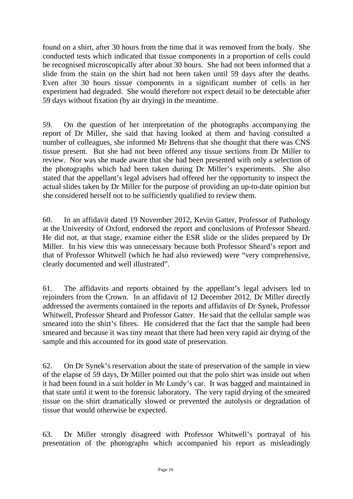found on a shirt, after 30 hours from the time that it was removed from the body. She conducted tests which indicated that tissue components in a proportion of cells could be recognised microscopically after about 30 hours. She had not been informed that a slide from the stain on the shirt had not been taken until 59 days after the deaths. Even after 30 hours tissue components in a significant number of cells in her experiment had degraded. She would therefore not expect detail to be detectable after 59 days without fixation (by air drying) in the meantime.

59. On the question of her interpretation of the photographs accompanying the report of Dr Miller, she said that having looked at them and having consulted a number of colleagues, she informed Mr Behrens that she thought that there was CNS tissue present. But she had not been offered any tissue sections from Dr Miller to review. Nor was she made aware that she had been presented with only a selection of the photographs which had been taken during Dr Miller's experiments. She also stated that the appellant's legal advisers had offered her the opportunity to inspect the actual slides taken by Dr Miller for the purpose of providing an up-to-date opinion but she considered herself not to be sufficiently qualified to review them.

at the University of Oxford, endorsed the report and conclusions of Professor Sheard. 60. In an affidavit dated 19 November 2012, Kevin Gatter, Professor of Pathology He did not, at that stage, examine either the ESR slide or the slides prepared by Dr Miller. In his view this was unnecessary because both Professor Sheard's report and that of Professor Whitwell (which he had also reviewed) were "very comprehensive, clearly documented and well illustrated".

Whitwell, Professor Sheard and Professor Gatter. He said that the cellular sample was 61. The affidavits and reports obtained by the appellant's legal advisers led to rejoinders from the Crown. In an affidavit of 12 December 2012, Dr Miller directly addressed the averments contained in the reports and affidavits of Dr Synek, Professor smeared into the shirt's fibres. He considered that the fact that the sample had been smeared and because it was tiny meant that there had been very rapid air drying of the sample and this accounted for its good state of preservation.

62. On Dr Synek's reservation about the state of preservation of the sample in view of the elapse of 59 days, Dr Miller pointed out that the polo shirt was inside out when it had been found in a suit holder in Mr Lundy's car. It was bagged and maintained in that state until it went to the forensic laboratory. The very rapid drying of the smeared tissue on the shirt dramatically slowed or prevented the autolysis or degradation of tissue that would otherwise be expected.

63. Dr Miller strongly disagreed with Professor Whitwell's portrayal of his presentation of the photographs which accompanied his report as misleadingly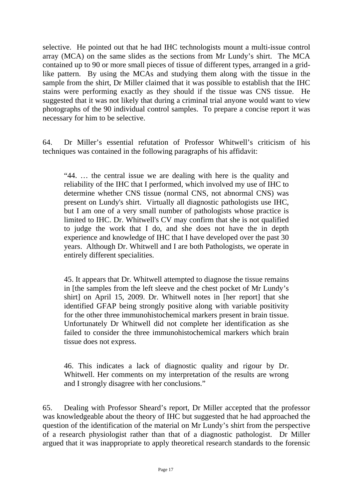selective. He pointed out that he had IHC technologists mount a multi-issue control array (MCA) on the same slides as the sections from Mr Lundy's shirt. The MCA contained up to 90 or more small pieces of tissue of different types, arranged in a gridlike pattern. By using the MCAs and studying them along with the tissue in the sample from the shirt, Dr Miller claimed that it was possible to establish that the IHC stains were performing exactly as they should if the tissue was CNS tissue. He suggested that it was not likely that during a criminal trial anyone would want to view photographs of the 90 individual control samples. To prepare a concise report it was necessary for him to be selective.

64. Dr Miller's essential refutation of Professor Whitwell's criticism of his techniques was contained in the following paragraphs of his affidavit:

"44. … the central issue we are dealing with here is the quality and reliability of the IHC that I performed, which involved my use of IHC to determine whether CNS tissue (normal CNS, not abnormal CNS) was present on Lundy's shirt. Virtually all diagnostic pathologists use IHC, but I am one of a very small number of pathologists whose practice is limited to IHC. Dr. Whitwell's CV may confirm that she is not qualified to judge the work that I do, and she does not have the in depth experience and knowledge of IHC that I have developed over the past 30 years. Although Dr. Whitwell and I are both Pathologists, we operate in entirely different specialities.

45. It appears that Dr. Whitwell attempted to diagnose the tissue remains in [the samples from the left sleeve and the chest pocket of Mr Lundy's shirt] on April 15, 2009. Dr. Whitwell notes in [her report] that she identified GFAP being strongly positive along with variable positivity for the other three immunohistochemical markers present in brain tissue. Unfortunately Dr Whitwell did not complete her identification as she failed to consider the three immunohistochemical markers which brain tissue does not express.

46. This indicates a lack of diagnostic quality and rigour by Dr. Whitwell. Her comments on my interpretation of the results are wrong and I strongly disagree with her conclusions."

65. Dealing with Professor Sheard's report, Dr Miller accepted that the professor was knowledgeable about the theory of IHC but suggested that he had approached the question of the identification of the material on Mr Lundy's shirt from the perspective of a research physiologist rather than that of a diagnostic pathologist. Dr Miller argued that it was inappropriate to apply theoretical research standards to the forensic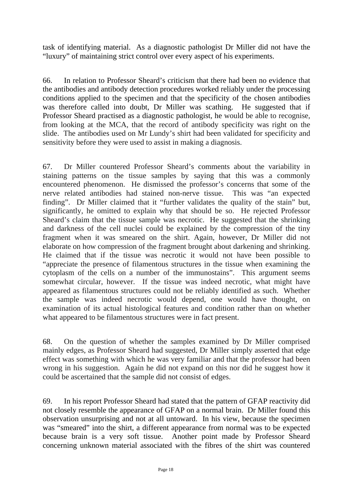task of identifying material. As a diagnostic pathologist Dr Miller did not have the "luxury" of maintaining strict control over every aspect of his experiments.

66. In relation to Professor Sheard's criticism that there had been no evidence that the antibodies and antibody detection procedures worked reliably under the processing conditions applied to the specimen and that the specificity of the chosen antibodies was therefore called into doubt. Dr Miller was scathing. He suggested that if Professor Sheard practised as a diagnostic pathologist, he would be able to recognise, from looking at the MCA, that the record of antibody specificity was right on the slide. The antibodies used on Mr Lundy's shirt had been validated for specificity and sensitivity before they were used to assist in making a diagnosis.

67. Dr Miller countered Professor Sheard's comments about the variability in staining patterns on the tissue samples by saying that this was a commonly encountered phenomenon. He dismissed the professor's concerns that some of the nerve related antibodies had stained non-nerve tissue. This was "an expected finding". Dr Miller claimed that it "further validates the quality of the stain" but, significantly, he omitted to explain why that should be so. He rejected Professor Sheard's claim that the tissue sample was necrotic. He suggested that the shrinking and darkness of the cell nuclei could be explained by the compression of the tiny fragment when it was smeared on the shirt. Again, however, Dr Miller did not elaborate on how compression of the fragment brought about darkening and shrinking. He claimed that if the tissue was necrotic it would not have been possible to "appreciate the presence of filamentous structures in the tissue when examining the cytoplasm of the cells on a number of the immunostains". This argument seems somewhat circular, however. If the tissue was indeed necrotic, what might have appeared as filamentous structures could not be reliably identified as such. Whether the sample was indeed necrotic would depend, one would have thought, on examination of its actual histological features and condition rather than on whether what appeared to be filamentous structures were in fact present.

68. On the question of whether the samples examined by Dr Miller comprised mainly edges, as Professor Sheard had suggested, Dr Miller simply asserted that edge effect was something with which he was very familiar and that the professor had been wrong in his suggestion. Again he did not expand on this nor did he suggest how it could be ascertained that the sample did not consist of edges.

69. In his report Professor Sheard had stated that the pattern of GFAP reactivity did not closely resemble the appearance of GFAP on a normal brain. Dr Miller found this observation unsurprising and not at all untoward. In his view, because the specimen was "smeared" into the shirt, a different appearance from normal was to be expected because brain is a very soft tissue. Another point made by Professor Sheard concerning unknown material associated with the fibres of the shirt was countered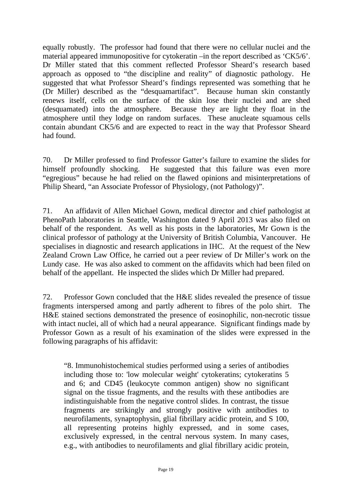equally robustly. The professor had found that there were no cellular nuclei and the material appeared immunopositive for cytokeratin –in the report described as 'CK5/6'. Dr Miller stated that this comment reflected Professor Sheard's research based approach as opposed to "the discipline and reality" of diagnostic pathology. He suggested that what Professor Sheard's findings represented was something that he (Dr Miller) described as the "desquamartifact". Because human skin constantly renews itself, cells on the surface of the skin lose their nuclei and are shed (desquamated) into the atmosphere. Because they are light they float in the atmosphere until they lodge on random surfaces. These anucleate squamous cells contain abundant CK5/6 and are expected to react in the way that Professor Sheard had found.

70. Dr Miller professed to find Professor Gatter's failure to examine the slides for himself profoundly shocking. He suggested that this failure was even more "egregious" because he had relied on the flawed opinions and misinterpretations of Philip Sheard, "an Associate Professor of Physiology, (not Pathology)".

71. An affidavit of Allen Michael Gown, medical director and chief pathologist at PhenoPath laboratories in Seattle, Washington dated 9 April 2013 was also filed on behalf of the respondent. As well as his posts in the laboratories, Mr Gown is the clinical professor of pathology at the University of British Columbia, Vancouver. He specialises in diagnostic and research applications in IHC. At the request of the New Zealand Crown Law Office, he carried out a peer review of Dr Miller's work on the Lundy case. He was also asked to comment on the affidavits which had been filed on behalf of the appellant. He inspected the slides which Dr Miller had prepared.

72. Professor Gown concluded that the H&E slides revealed the presence of tissue fragments interspersed among and partly adherent to fibres of the polo shirt. The H&E stained sections demonstrated the presence of eosinophilic, non-necrotic tissue with intact nuclei, all of which had a neural appearance. Significant findings made by Professor Gown as a result of his examination of the slides were expressed in the following paragraphs of his affidavit:

"8. Immunohistochemical studies performed using a series of antibodies including those to: 'low molecular weight' cytokeratins; cytokeratins 5 and 6; and CD45 (leukocyte common antigen) show no significant signal on the tissue fragments, and the results with these antibodies are indistinguishable from the negative control slides. In contrast, the tissue fragments are strikingly and strongly positive with antibodies to neurofilaments, synaptophysin, glial fibrillary acidic protein, and S 100, all representing proteins highly expressed, and in some cases, exclusively expressed, in the central nervous system. In many cases, e.g., with antibodies to neurofilaments and glial fibrillary acidic protein,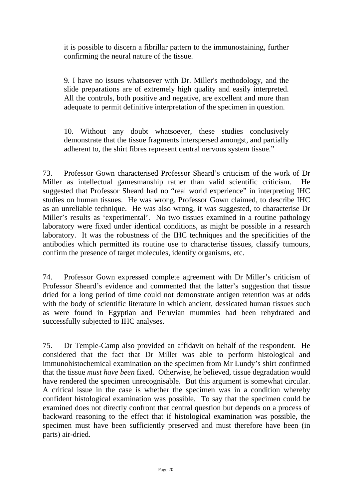it is possible to discern a fibrillar pattern to the immunostaining, further confirming the neural nature of the tissue.

9. I have no issues whatsoever with Dr. Miller's methodology, and the slide preparations are of extremely high quality and easily interpreted. All the controls, both positive and negative, are excellent and more than adequate to permit definitive interpretation of the specimen in question.

10. Without any doubt whatsoever, these studies conclusively demonstrate that the tissue fragments interspersed amongst, and partially adherent to, the shirt fibres represent central nervous system tissue."

73. Professor Gown characterised Professor Sheard's criticism of the work of Dr Miller as intellectual gamesmanship rather than valid scientific criticism. He suggested that Professor Sheard had no "real world experience" in interpreting IHC studies on human tissues. He was wrong, Professor Gown claimed, to describe IHC as an unreliable technique. He was also wrong, it was suggested, to characterise Dr Miller's results as 'experimental'. No two tissues examined in a routine pathology laboratory were fixed under identical conditions, as might be possible in a research laboratory. It was the robustness of the IHC techniques and the specificities of the antibodies which permitted its routine use to characterise tissues, classify tumours, confirm the presence of target molecules, identify organisms, etc.

74. Professor Gown expressed complete agreement with Dr Miller's criticism of Professor Sheard's evidence and commented that the latter's suggestion that tissue dried for a long period of time could not demonstrate antigen retention was at odds with the body of scientific literature in which ancient, dessicated human tissues such as were found in Egyptian and Peruvian mummies had been rehydrated and successfully subjected to IHC analyses.

75. Dr Temple-Camp also provided an affidavit on behalf of the respondent. He considered that the fact that Dr Miller was able to perform histological and immunohistochemical examination on the specimen from Mr Lundy's shirt confirmed that the tissue *must have been* fixed. Otherwise, he believed, tissue degradation would have rendered the specimen unrecognisable. But this argument is somewhat circular. A critical issue in the case is whether the specimen was in a condition whereby confident histological examination was possible. To say that the specimen could be examined does not directly confront that central question but depends on a process of backward reasoning to the effect that if histological examination was possible, the specimen must have been sufficiently preserved and must therefore have been (in parts) air-dried.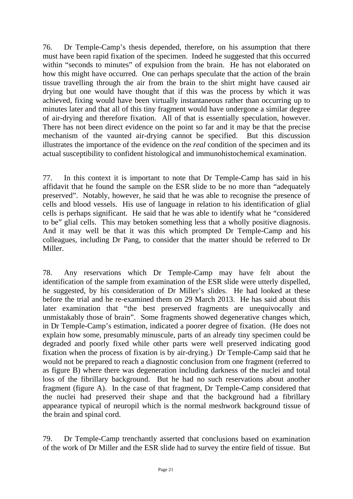76. Dr Temple-Camp's thesis depended, therefore, on his assumption that there must have been rapid fixation of the specimen. Indeed he suggested that this occurred within "seconds to minutes" of expulsion from the brain. He has not elaborated on how this might have occurred. One can perhaps speculate that the action of the brain tissue travelling through the air from the brain to the shirt might have caused air drying but one would have thought that if this was the process by which it was achieved, fixing would have been virtually instantaneous rather than occurring up to minutes later and that all of this tiny fragment would have undergone a similar degree of air-drying and therefore fixation. All of that is essentially speculation, however. There has not been direct evidence on the point so far and it may be that the precise mechanism of the vaunted air-drying cannot be specified. But this discussion illustrates the importance of the evidence on the *real* condition of the specimen and its actual susceptibility to confident histological and immunohistochemical examination.

77. In this context it is important to note that Dr Temple-Camp has said in his affidavit that he found the sample on the ESR slide to be no more than "adequately preserved". Notably, however, he said that he was able to recognise the presence of cells and blood vessels. His use of language in relation to his identification of glial cells is perhaps significant. He said that he was able to identify what he "considered to be" glial cells. This may betoken something less that a wholly positive diagnosis. And it may well be that it was this which prompted Dr Temple-Camp and his colleagues, including Dr Pang, to consider that the matter should be referred to Dr Miller.

78. Any reservations which Dr Temple-Camp may have felt about the identification of the sample from examination of the ESR slide were utterly dispelled, he suggested, by his consideration of Dr Miller's slides. He had looked at these before the trial and he re-examined them on 29 March 2013. He has said about this later examination that "the best preserved fragments are unequivocally and unmistakably those of brain". Some fragments showed degenerative changes which, in Dr Temple-Camp's estimation, indicated a poorer degree of fixation. (He does not explain how some, presumably minuscule, parts of an already tiny specimen could be degraded and poorly fixed while other parts were well preserved indicating good fixation when the process of fixation is by air-drying.) Dr Temple-Camp said that he would not be prepared to reach a diagnostic conclusion from one fragment (referred to as figure B) where there was degeneration including darkness of the nuclei and total loss of the fibrillary background. But he had no such reservations about another fragment (figure A). In the case of that fragment, Dr Temple-Camp considered that the nuclei had preserved their shape and that the background had a fibrillary appearance typical of neuropil which is the normal meshwork background tissue of the brain and spinal cord.

79. Dr Temple-Camp trenchantly asserted that conclusions based on examination of the work of Dr Miller and the ESR slide had to survey the entire field of tissue. But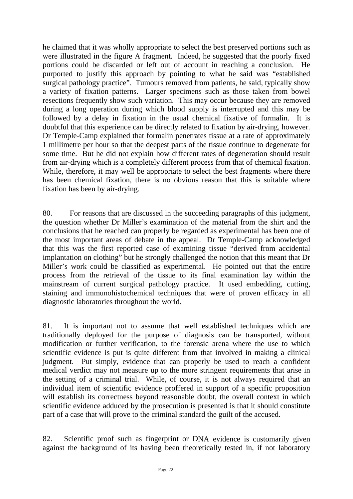he claimed that it was wholly appropriate to select the best preserved portions such as were illustrated in the figure A fragment. Indeed, he suggested that the poorly fixed portions could be discarded or left out of account in reaching a conclusion. He purported to justify this approach by pointing to what he said was "established surgical pathology practice". Tumours removed from patients, he said, typically show a variety of fixation patterns. Larger specimens such as those taken from bowel resections frequently show such variation. This may occur because they are removed during a long operation during which blood supply is interrupted and this may be followed by a delay in fixation in the usual chemical fixative of formalin. It is doubtful that this experience can be directly related to fixation by air-drying, however. Dr Temple-Camp explained that formalin penetrates tissue at a rate of approximately 1 millimetre per hour so that the deepest parts of the tissue continue to degenerate for some time. But he did not explain how different rates of degeneration should result from air-drying which is a completely different process from that of chemical fixation. While, therefore, it may well be appropriate to select the best fragments where there has been chemical fixation, there is no obvious reason that this is suitable where fixation has been by air-drying.

80. For reasons that are discussed in the succeeding paragraphs of this judgment, the question whether Dr Miller's examination of the material from the shirt and the conclusions that he reached can properly be regarded as experimental has been one of the most important areas of debate in the appeal. Dr Temple-Camp acknowledged that this was the first reported case of examining tissue "derived from accidental implantation on clothing" but he strongly challenged the notion that this meant that Dr Miller's work could be classified as experimental. He pointed out that the entire process from the retrieval of the tissue to its final examination lay within the mainstream of current surgical pathology practice. It used embedding, cutting, staining and immunohistochemical techniques that were of proven efficacy in all diagnostic laboratories throughout the world.

81. It is important not to assume that well established techniques which are traditionally deployed for the purpose of diagnosis can be transported, without modification or further verification, to the forensic arena where the use to which scientific evidence is put is quite different from that involved in making a clinical judgment. Put simply, evidence that can properly be used to reach a confident medical verdict may not measure up to the more stringent requirements that arise in the setting of a criminal trial. While, of course, it is not always required that an individual item of scientific evidence proffered in support of a specific proposition will establish its correctness beyond reasonable doubt, the overall context in which scientific evidence adduced by the prosecution is presented is that it should constitute part of a case that will prove to the criminal standard the guilt of the accused.

82. Scientific proof such as fingerprint or DNA evidence is customarily given against the background of its having been theoretically tested in, if not laboratory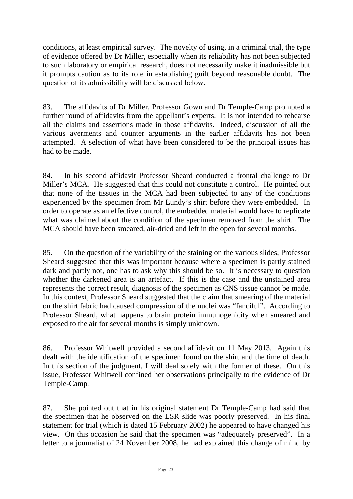conditions, at least empirical survey. The novelty of using, in a criminal trial, the type of evidence offered by Dr Miller, especially when its reliability has not been subjected to such laboratory or empirical research, does not necessarily make it inadmissible but it prompts caution as to its role in establishing guilt beyond reasonable doubt. The question of its admissibility will be discussed below.

83. The affidavits of Dr Miller, Professor Gown and Dr Temple-Camp prompted a further round of affidavits from the appellant's experts. It is not intended to rehearse all the claims and assertions made in those affidavits. Indeed, discussion of all the various averments and counter arguments in the earlier affidavits has not been attempted. A selection of what have been considered to be the principal issues has had to be made.

84. In his second affidavit Professor Sheard conducted a frontal challenge to Dr Miller's MCA. He suggested that this could not constitute a control. He pointed out that none of the tissues in the MCA had been subjected to any of the conditions experienced by the specimen from Mr Lundy's shirt before they were embedded. In order to operate as an effective control, the embedded material would have to replicate what was claimed about the condition of the specimen removed from the shirt. The MCA should have been smeared, air-dried and left in the open for several months.

exposed to the air for several months is simply unknown. 85. On the question of the variability of the staining on the various slides, Professor Sheard suggested that this was important because where a specimen is partly stained dark and partly not, one has to ask why this should be so. It is necessary to question whether the darkened area is an artefact. If this is the case and the unstained area represents the correct result, diagnosis of the specimen as CNS tissue cannot be made. In this context, Professor Sheard suggested that the claim that smearing of the material on the shirt fabric had caused compression of the nuclei was "fanciful". According to Professor Sheard, what happens to brain protein immunogenicity when smeared and

86. Professor Whitwell provided a second affidavit on 11 May 2013. Again this dealt with the identification of the specimen found on the shirt and the time of death. In this section of the judgment, I will deal solely with the former of these. On this issue, Professor Whitwell confined her observations principally to the evidence of Dr Temple-Camp.

87. She pointed out that in his original statement Dr Temple-Camp had said that the specimen that he observed on the ESR slide was poorly preserved. In his final statement for trial (which is dated 15 February 2002) he appeared to have changed his view. On this occasion he said that the specimen was "adequately preserved". In a letter to a journalist of 24 November 2008, he had explained this change of mind by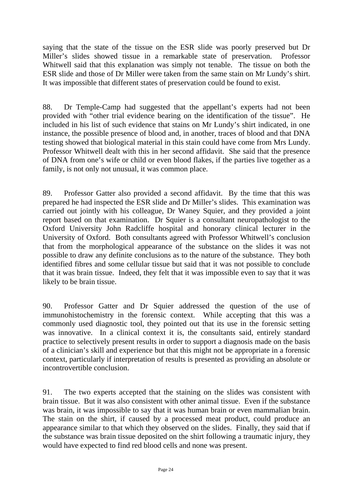saying that the state of the tissue on the ESR slide was poorly preserved but Dr Miller's slides showed tissue in a remarkable state of preservation. Professor Whitwell said that this explanation was simply not tenable. The tissue on both the ESR slide and those of Dr Miller were taken from the same stain on Mr Lundy's shirt. It was impossible that different states of preservation could be found to exist.

88. Dr Temple-Camp had suggested that the appellant's experts had not been provided with "other trial evidence bearing on the identification of the tissue". He included in his list of such evidence that stains on Mr Lundy's shirt indicated, in one instance, the possible presence of blood and, in another, traces of blood and that DNA testing showed that biological material in this stain could have come from Mrs Lundy. Professor Whitwell dealt with this in her second affidavit. She said that the presence of DNA from one's wife or child or even blood flakes, if the parties live together as a family, is not only not unusual, it was common place.

89. Professor Gatter also provided a second affidavit. By the time that this was prepared he had inspected the ESR slide and Dr Miller's slides. This examination was carried out jointly with his colleague. Dr Waney Squier, and they provided a joint report based on that examination. Dr Squier is a consultant neuropathologist to the Oxford University John Radcliffe hospital and honorary clinical lecturer in the University of Oxford. Both consultants agreed with Professor Whitwell's conclusion that from the morphological appearance of the substance on the slides it was not possible to draw any definite conclusions as to the nature of the substance. They both identified fibres and some cellular tissue but said that it was not possible to conclude that it was brain tissue. Indeed, they felt that it was impossible even to say that it was likely to be brain tissue.

90. Professor Gatter and Dr Squier addressed the question of the use of immunohistochemistry in the forensic context. While accepting that this was a commonly used diagnostic tool, they pointed out that its use in the forensic setting was innovative. In a clinical context it is, the consultants said, entirely standard practice to selectively present results in order to support a diagnosis made on the basis of a clinician's skill and experience but that this might not be appropriate in a forensic context, particularly if interpretation of results is presented as providing an absolute or incontrovertible conclusion.

was brain, it was impossible to say that it was human brain or even mammalian brain. 91. The two experts accepted that the staining on the slides was consistent with brain tissue. But it was also consistent with other animal tissue. Even if the substance The stain on the shirt, if caused by a processed meat product, could produce an appearance similar to that which they observed on the slides. Finally, they said that if the substance was brain tissue deposited on the shirt following a traumatic injury, they would have expected to find red blood cells and none was present.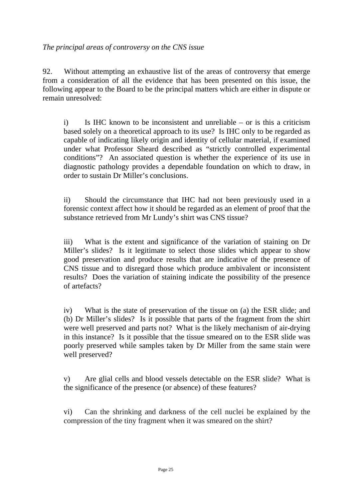92. Without attempting an exhaustive list of the areas of controversy that emerge from a consideration of all the evidence that has been presented on this issue, the following appear to the Board to be the principal matters which are either in dispute or remain unresolved:

i) Is IHC known to be inconsistent and unreliable – or is this a criticism based solely on a theoretical approach to its use? Is IHC only to be regarded as capable of indicating likely origin and identity of cellular material, if examined under what Professor Sheard described as "strictly controlled experimental conditions"? An associated question is whether the experience of its use in diagnostic pathology provides a dependable foundation on which to draw, in order to sustain Dr Miller's conclusions.

ii) Should the circumstance that IHC had not been previously used in a forensic context affect how it should be regarded as an element of proof that the substance retrieved from Mr Lundy's shirt was CNS tissue?

iii) What is the extent and significance of the variation of staining on Dr Miller's slides? Is it legitimate to select those slides which appear to show good preservation and produce results that are indicative of the presence of CNS tissue and to disregard those which produce ambivalent or inconsistent results? Does the variation of staining indicate the possibility of the presence of artefacts?

iv) What is the state of preservation of the tissue on (a) the ESR slide; and (b) Dr Miller's slides? Is it possible that parts of the fragment from the shirt were well preserved and parts not? What is the likely mechanism of air-drying in this instance? Is it possible that the tissue smeared on to the ESR slide was poorly preserved while samples taken by Dr Miller from the same stain were well preserved?

v) Are glial cells and blood vessels detectable on the ESR slide? What is the significance of the presence (or absence) of these features?

vi) Can the shrinking and darkness of the cell nuclei be explained by the compression of the tiny fragment when it was smeared on the shirt?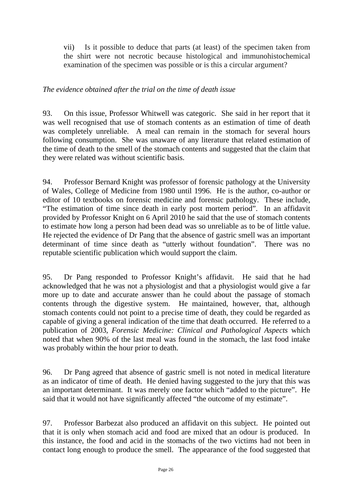vii) Is it possible to deduce that parts (at least) of the specimen taken from the shirt were not necrotic because histological and immunohistochemical examination of the specimen was possible or is this a circular argument?

#### *The evidence obtained after the trial on the time of death issue*

93. On this issue, Professor Whitwell was categoric. She said in her report that it was well recognised that use of stomach contents as an estimation of time of death was completely unreliable. A meal can remain in the stomach for several hours following consumption. She was unaware of any literature that related estimation of the time of death to the smell of the stomach contents and suggested that the claim that they were related was without scientific basis.

94. Professor Bernard Knight was professor of forensic pathology at the University of Wales, College of Medicine from 1980 until 1996. He is the author, co-author or editor of 10 textbooks on forensic medicine and forensic pathology. These include, "The estimation of time since death in early post mortem period". In an affidavit provided by Professor Knight on 6 April 2010 he said that the use of stomach contents to estimate how long a person had been dead was so unreliable as to be of little value. He rejected the evidence of Dr Pang that the absence of gastric smell was an important determinant of time since death as "utterly without foundation". There was no reputable scientific publication which would support the claim.

95. Dr Pang responded to Professor Knight's affidavit. He said that he had acknowledged that he was not a physiologist and that a physiologist would give a far more up to date and accurate answer than he could about the passage of stomach contents through the digestive system. He maintained, however, that, although stomach contents could not point to a precise time of death, they could be regarded as capable of giving a general indication of the time that death occurred. He referred to a publication of 2003, *Forensic Medicine: Clinical and Pathological Aspects* which noted that when 90% of the last meal was found in the stomach, the last food intake was probably within the hour prior to death.

96. Dr Pang agreed that absence of gastric smell is not noted in medical literature as an indicator of time of death. He denied having suggested to the jury that this was an important determinant. It was merely one factor which "added to the picture". He said that it would not have significantly affected "the outcome of my estimate".

97. Professor Barbezat also produced an affidavit on this subject. He pointed out that it is only when stomach acid and food are mixed that an odour is produced. In this instance, the food and acid in the stomachs of the two victims had not been in contact long enough to produce the smell. The appearance of the food suggested that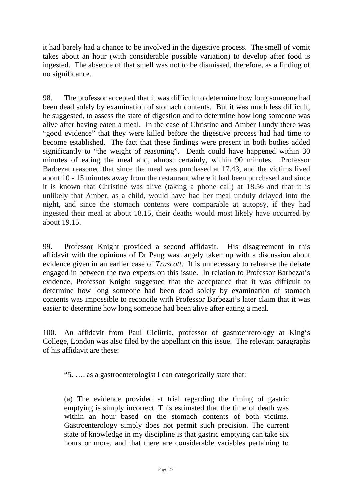it had barely had a chance to be involved in the digestive process. The smell of vomit takes about an hour (with considerable possible variation) to develop after food is ingested. The absence of that smell was not to be dismissed, therefore, as a finding of no significance.

98. The professor accepted that it was difficult to determine how long someone had been dead solely by examination of stomach contents. But it was much less difficult, he suggested, to assess the state of digestion and to determine how long someone was alive after having eaten a meal. In the case of Christine and Amber Lundy there was "good evidence" that they were killed before the digestive process had had time to become established. The fact that these findings were present in both bodies added significantly to "the weight of reasoning". Death could have happened within 30 minutes of eating the meal and, almost certainly, within 90 minutes. Professor Barbezat reasoned that since the meal was purchased at 17.43, and the victims lived about 10 - 15 minutes away from the restaurant where it had been purchased and since it is known that Christine was alive (taking a phone call) at 18.56 and that it is unlikely that Amber, as a child, would have had her meal unduly delayed into the night, and since the stomach contents were comparable at autopsy, if they had ingested their meal at about 18.15, their deaths would most likely have occurred by about 19.15.

99. Professor Knight provided a second affidavit. His disagreement in this affidavit with the opinions of Dr Pang was largely taken up with a discussion about evidence given in an earlier case of *Truscott*. It is unnecessary to rehearse the debate engaged in between the two experts on this issue. In relation to Professor Barbezat's evidence, Professor Knight suggested that the acceptance that it was difficult to determine how long someone had been dead solely by examination of stomach contents was impossible to reconcile with Professor Barbezat's later claim that it was easier to determine how long someone had been alive after eating a meal.

100. An affidavit from Paul Ciclitria, professor of gastroenterology at King's College, London was also filed by the appellant on this issue. The relevant paragraphs of his affidavit are these:

"5. …. as a gastroenterologist I can categorically state that:

(a) The evidence provided at trial regarding the timing of gastric emptying is simply incorrect. This estimated that the time of death was within an hour based on the stomach contents of both victims. Gastroenterology simply does not permit such precision. The current state of knowledge in my discipline is that gastric emptying can take six hours or more, and that there are considerable variables pertaining to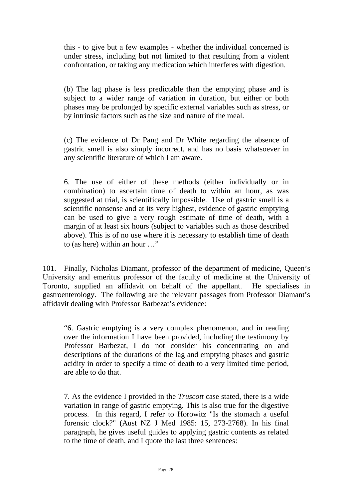this - to give but a few examples - whether the individual concerned is under stress, including but not limited to that resulting from a violent confrontation, or taking any medication which interferes with digestion.

(b) The lag phase is less predictable than the emptying phase and is subject to a wider range of variation in duration, but either or both phases may be prolonged by specific external variables such as stress, or by intrinsic factors such as the size and nature of the meal.

(c) The evidence of Dr Pang and Dr White regarding the absence of gastric smell is also simply incorrect, and has no basis whatsoever in any scientific literature of which I am aware.

6. The use of either of these methods (either individually or in combination) to ascertain time of death to within an hour, as was suggested at trial, is scientifically impossible. Use of gastric smell is a scientific nonsense and at its very highest, evidence of gastric emptying can be used to give a very rough estimate of time of death, with a margin of at least six hours (subject to variables such as those described above). This is of no use where it is necessary to establish time of death to (as here) within an hour …"

101. Finally, Nicholas Diamant, professor of the department of medicine, Queen's University and emeritus professor of the faculty of medicine at the University of Toronto, supplied an affidavit on behalf of the appellant. He specialises in gastroenterology. The following are the relevant passages from Professor Diamant's affidavit dealing with Professor Barbezat's evidence:

"6. Gastric emptying is a very complex phenomenon, and in reading over the information I have been provided, including the testimony by Professor Barbezat, I do not consider his concentrating on and descriptions of the durations of the lag and emptying phases and gastric acidity in order to specify a time of death to a very limited time period, are able to do that.

7. As the evidence I provided in the *Truscott* case stated, there is a wide variation in range of gastric emptying. This is also true for the digestive process. In this regard, I refer to Horowitz "Is the stomach a useful forensic clock?" (Aust NZ J Med 1985: 15, 273-2768). In his final paragraph, he gives useful guides to applying gastric contents as related to the time of death, and I quote the last three sentences: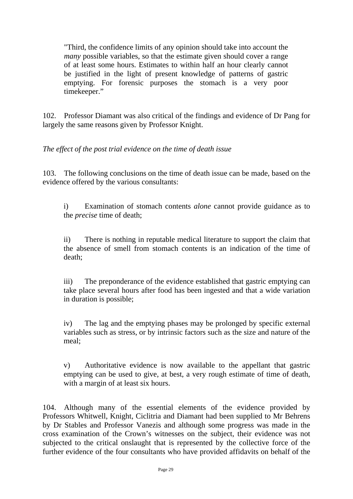"Third, the confidence limits of any opinion should take into account the *many* possible variables, so that the estimate given should cover a range of at least some hours. Estimates to within half an hour clearly cannot be justified in the light of present knowledge of patterns of gastric emptying. For forensic purposes the stomach is a very poor timekeeper."

102. Professor Diamant was also critical of the findings and evidence of Dr Pang for largely the same reasons given by Professor Knight.

*The effect of the post trial evidence on the time of death issue* 

103. The following conclusions on the time of death issue can be made, based on the evidence offered by the various consultants:

i) Examination of stomach contents *alone* cannot provide guidance as to the *precise* time of death;

ii) There is nothing in reputable medical literature to support the claim that the absence of smell from stomach contents is an indication of the time of death;

iii) The preponderance of the evidence established that gastric emptying can take place several hours after food has been ingested and that a wide variation in duration is possible;

iv) The lag and the emptying phases may be prolonged by specific external variables such as stress, or by intrinsic factors such as the size and nature of the meal;

v) Authoritative evidence is now available to the appellant that gastric emptying can be used to give, at best, a very rough estimate of time of death, with a margin of at least six hours.

104. Although many of the essential elements of the evidence provided by Professors Whitwell, Knight, Ciclitria and Diamant had been supplied to Mr Behrens by Dr Stables and Professor Vanezis and although some progress was made in the cross examination of the Crown's witnesses on the subject, their evidence was not subjected to the critical onslaught that is represented by the collective force of the further evidence of the four consultants who have provided affidavits on behalf of the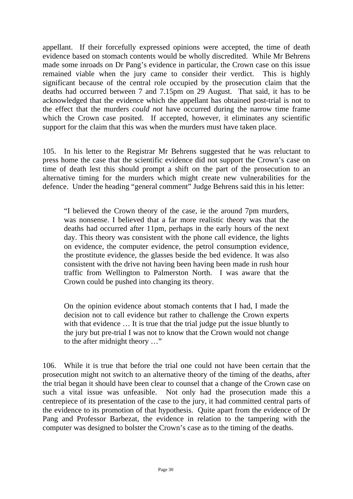appellant. If their forcefully expressed opinions were accepted, the time of death evidence based on stomach contents would be wholly discredited. While Mr Behrens made some inroads on Dr Pang's evidence in particular, the Crown case on this issue remained viable when the jury came to consider their verdict. This is highly significant because of the central role occupied by the prosecution claim that the deaths had occurred between 7 and 7.15pm on 29 August. That said, it has to be acknowledged that the evidence which the appellant has obtained post-trial is not to the effect that the murders *could not* have occurred during the narrow time frame which the Crown case posited. If accepted, however, it eliminates any scientific support for the claim that this was when the murders must have taken place.

105. In his letter to the Registrar Mr Behrens suggested that he was reluctant to press home the case that the scientific evidence did not support the Crown's case on time of death lest this should prompt a shift on the part of the prosecution to an alternative timing for the murders which might create new vulnerabilities for the defence. Under the heading "general comment" Judge Behrens said this in his letter:

"I believed the Crown theory of the case, ie the around 7pm murders, was nonsense. I believed that a far more realistic theory was that the deaths had occurred after 11pm, perhaps in the early hours of the next day. This theory was consistent with the phone call evidence, the lights on evidence, the computer evidence, the petrol consumption evidence, the prostitute evidence, the glasses beside the bed evidence. It was also consistent with the drive not having been having been made in rush hour traffic from Wellington to Palmerston North. I was aware that the Crown could be pushed into changing its theory.

On the opinion evidence about stomach contents that I had, I made the decision not to call evidence but rather to challenge the Crown experts with that evidence ... It is true that the trial judge put the issue bluntly to the jury but pre-trial I was not to know that the Crown would not change to the after midnight theory …"

106. While it is true that before the trial one could not have been certain that the prosecution might not switch to an alternative theory of the timing of the deaths, after the trial began it should have been clear to counsel that a change of the Crown case on such a vital issue was unfeasible. Not only had the prosecution made this a centrepiece of its presentation of the case to the jury, it had committed central parts of the evidence to its promotion of that hypothesis. Quite apart from the evidence of Dr Pang and Professor Barbezat, the evidence in relation to the tampering with the computer was designed to bolster the Crown's case as to the timing of the deaths.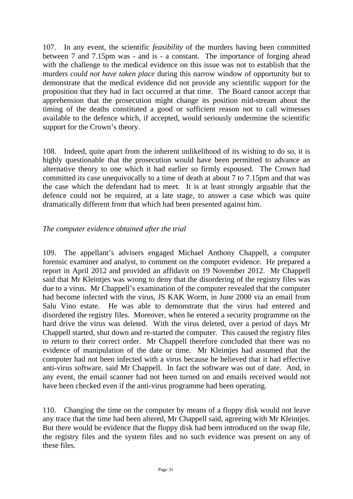107. In any event, the scientific *feasibility* of the murders having been committed between 7 and 7.15pm was - and is - a constant. The importance of forging ahead with the challenge to the medical evidence on this issue was not to establish that the murders *could not have taken place* during this narrow window of opportunity but to demonstrate that the medical evidence did not provide any scientific support for the proposition that they had in fact occurred at that time. The Board cannot accept that apprehension that the prosecution might change its position mid-stream about the timing of the deaths constituted a good or sufficient reason not to call witnesses available to the defence which, if accepted, would seriously undermine the scientific support for the Crown's theory.

 dramatically different from that which had been presented against him. 108. Indeed, quite apart from the inherent unlikelihood of its wishing to do so, it is highly questionable that the prosecution would have been permitted to advance an alternative theory to one which it had earlier so firmly espoused. The Crown had committed its case unequivocally to a time of death at about 7 to 7.15pm and that was the case which the defendant had to meet. It is at least strongly arguable that the defence could not be required, at a late stage, to answer a case which was quite

#### *The computer evidence obtained after the trial*

109. The appellant's advisers engaged Michael Anthony Chappell, a computer forensic examiner and analyst, to comment on the computer evidence. He prepared a report in April 2012 and provided an affidavit on 19 November 2012. Mr Chappell said that Mr Kleintjes was wrong to deny that the disordering of the registry files was due to a virus. Mr Chappell's examination of the computer revealed that the computer had become infected with the virus, JS KAK Worm, in June 2000 via an email from Salu Vino estate. He was able to demonstrate that the virus had entered and disordered the registry files. Moreover, when he entered a security programme on the hard drive the virus was deleted. With the virus deleted, over a period of days Mr Chappell started, shut down and re-started the computer. This caused the registry files to return to their correct order. Mr Chappell therefore concluded that there was no evidence of manipulation of the date or time. Mr Kleintjes had assumed that the computer had not been infected with a virus because he believed that it had effective anti-virus software, said Mr Chappell. In fact the software was out of date. And, in any event, the email scanner had not been turned on and emails received would not have been checked even if the anti-virus programme had been operating.

110. Changing the time on the computer by means of a floppy disk would not leave any trace that the time had been altered, Mr Chappell said, agreeing with Mr Kleintjes. But there would be evidence that the floppy disk had been introduced on the swap file, the registry files and the system files and no such evidence was present on any of these files.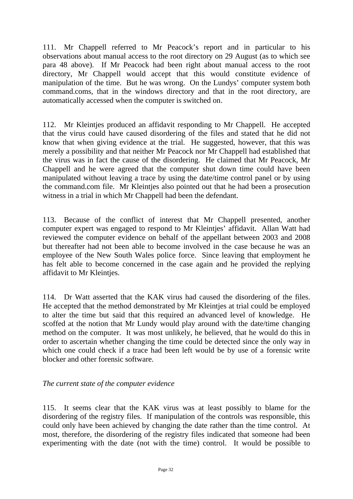111. Mr Chappell referred to Mr Peacock's report and in particular to his observations about manual access to the root directory on 29 August (as to which see para 48 above). If Mr Peacock had been right about manual access to the root directory, Mr Chappell would accept that this would constitute evidence of manipulation of the time. But he was wrong. On the Lundys' computer system both command.coms, that in the windows directory and that in the root directory, are automatically accessed when the computer is switched on.

112. Mr Kleintjes produced an affidavit responding to Mr Chappell. He accepted that the virus could have caused disordering of the files and stated that he did not know that when giving evidence at the trial. He suggested, however, that this was merely a possibility and that neither Mr Peacock nor Mr Chappell had established that the virus was in fact the cause of the disordering. He claimed that Mr Peacock, Mr Chappell and he were agreed that the computer shut down time could have been manipulated without leaving a trace by using the date/time control panel or by using the command.com file. Mr Kleintjes also pointed out that he had been a prosecution witness in a trial in which Mr Chappell had been the defendant.

113. Because of the conflict of interest that Mr Chappell presented, another computer expert was engaged to respond to Mr Kleintjes' affidavit. Allan Watt had reviewed the computer evidence on behalf of the appellant between 2003 and 2008 but thereafter had not been able to become involved in the case because he was an employee of the New South Wales police force. Since leaving that employment he has felt able to become concerned in the case again and he provided the replying affidavit to Mr Kleintjes.

114. Dr Watt asserted that the KAK virus had caused the disordering of the files. He accepted that the method demonstrated by Mr Kleintjes at trial could be employed to alter the time but said that this required an advanced level of knowledge. He scoffed at the notion that Mr Lundy would play around with the date/time changing method on the computer. It was most unlikely, he believed, that he would do this in order to ascertain whether changing the time could be detected since the only way in which one could check if a trace had been left would be by use of a forensic write blocker and other forensic software.

#### *The current state of the computer evidence*

115. It seems clear that the KAK virus was at least possibly to blame for the disordering of the registry files. If manipulation of the controls was responsible, this could only have been achieved by changing the date rather than the time control. At most, therefore, the disordering of the registry files indicated that someone had been experimenting with the date (not with the time) control. It would be possible to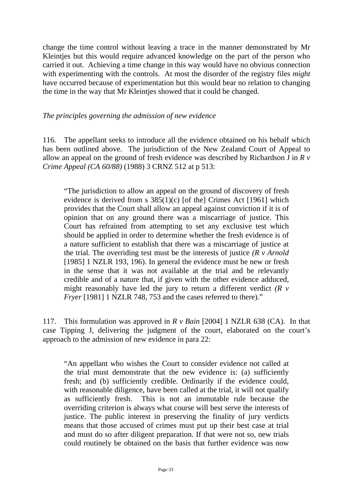change the time control without leaving a trace in the manner demonstrated by Mr Kleintjes but this would require advanced knowledge on the part of the person who carried it out. Achieving a time change in this way would have no obvious connection with experimenting with the controls. At most the disorder of the registry files *might*  have occurred because of experimentation but this would bear no relation to changing the time in the way that Mr Kleintjes showed that it could be changed.

#### *The principles governing the admission of new evidence*

116. The appellant seeks to introduce all the evidence obtained on his behalf which has been outlined above. The jurisdiction of the New Zealand Court of Appeal to allow an appeal on the ground of fresh evidence was described by Richardson J in *R v Crime Appeal (CA 60/88)* (1988) 3 CRNZ 512 at p 513:

"The jurisdiction to allow an appeal on the ground of discovery of fresh evidence is derived from s  $385(1)(c)$  [of the] Crimes Act [1961] which provides that the Court shall allow an appeal against conviction if it is of opinion that on any ground there was a miscarriage of justice. This Court has refrained from attempting to set any exclusive test which should be applied in order to determine whether the fresh evidence is of a nature sufficient to establish that there was a miscarriage of justice at the trial. The overriding test must be the interests of justice *(R v Arnold*  [1985] 1 NZLR 193, 196). In general the evidence must be new or fresh in the sense that it was not available at the trial and be relevantly credible and of a nature that, if given with the other evidence adduced, might reasonably have led the jury to return a different verdict *(R v Fryer* [1981] 1 NZLR 748, 753 and the cases referred to there)."

117. This formulation was approved in *R v Bain* [2004] 1 NZLR 638 (CA). In that case Tipping J, delivering the judgment of the court, elaborated on the court's approach to the admission of new evidence in para 22:

"An appellant who wishes the Court to consider evidence not called at the trial must demonstrate that the new evidence is: (a) sufficiently fresh; and (b) sufficiently credible. Ordinarily if the evidence could, with reasonable diligence, have been called at the trial, it will not qualify as sufficiently fresh. This is not an immutable rule because the overriding criterion is always what course will best serve the interests of justice. The public interest in preserving the finality of jury verdicts means that those accused of crimes must put up their best case at trial and must do so after diligent preparation. If that were not so, new trials could routinely be obtained on the basis that further evidence was now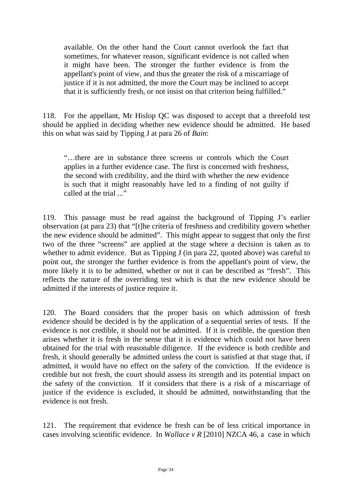available. On the other hand the Court cannot overlook the fact that sometimes, for whatever reason, significant evidence is not called when it might have been. The stronger the further evidence is from the appellant's point of view, and thus the greater the risk of a miscarriage of justice if it is not admitted, the more the Court may be inclined to accept that it is sufficiently fresh, or not insist on that criterion being fulfilled."

118. For the appellant, Mr Hislop QC was disposed to accept that a threefold test should be applied in deciding whether new evidence should be admitted. He based this on what was said by Tipping J at para 26 of *Bain*:

"…there are in substance three screens or controls which the Court applies in a further evidence case. The first is concerned with freshness, the second with credibility, and the third with whether the new evidence is such that it might reasonably have led to a finding of not guilty if called at the trial ..."

119. This passage must be read against the background of Tipping J's earlier observation (at para 23) that "[t]he criteria of freshness and credibility govern whether the new evidence should be admitted". This might appear to suggest that only the first two of the three "screens" are applied at the stage where a decision is taken as to whether to admit evidence. But as Tipping J (in para 22, quoted above) was careful to point out, the stronger the further evidence is from the appellant's point of view, the more likely it is to be admitted, whether or not it can be described as "fresh". This reflects the nature of the overriding test which is that the new evidence should be admitted if the interests of justice require it.

120. The Board considers that the proper basis on which admission of fresh evidence should be decided is by the application of a sequential series of tests. If the evidence is not credible, it should not be admitted. If it is credible, the question then arises whether it is fresh in the sense that it is evidence which could not have been obtained for the trial with reasonable diligence. If the evidence is both credible and fresh, it should generally be admitted unless the court is satisfied at that stage that, if admitted, it would have no effect on the safety of the conviction. If the evidence is credible but not fresh, the court should assess its strength and its potential impact on the safety of the conviction. If it considers that there is a risk of a miscarriage of justice if the evidence is excluded, it should be admitted, notwithstanding that the evidence is not fresh.

121. The requirement that evidence be fresh can be of less critical importance in cases involving scientific evidence. In *Wallace v R* [2010] NZCA 46, a case in which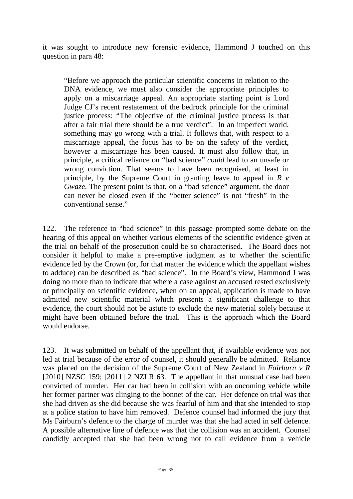it was sought to introduce new forensic evidence, Hammond J touched on this question in para 48:

"Before we approach the particular scientific concerns in relation to the DNA evidence, we must also consider the appropriate principles to apply on a miscarriage appeal. An appropriate starting point is Lord Judge CJ's recent restatement of the bedrock principle for the criminal justice process: "The objective of the criminal justice process is that after a fair trial there should be a true verdict". In an imperfect world, something may go wrong with a trial. It follows that, with respect to a miscarriage appeal, the focus has to be on the safety of the verdict, however a miscarriage has been caused. It must also follow that, in principle, a critical reliance on "bad science" *could* lead to an unsafe or wrong conviction. That seems to have been recognised, at least in principle, by the Supreme Court in granting leave to appeal in *R v Gwaze*. The present point is that, on a "bad science" argument, the door can never be closed even if the "better science" is not "fresh" in the conventional sense."

122. The reference to "bad science" in this passage prompted some debate on the hearing of this appeal on whether various elements of the scientific evidence given at the trial on behalf of the prosecution could be so characterised. The Board does not consider it helpful to make a pre-emptive judgment as to whether the scientific evidence led by the Crown (or, for that matter the evidence which the appellant wishes to adduce) can be described as "bad science". In the Board's view, Hammond J was doing no more than to indicate that where a case against an accused rested exclusively or principally on scientific evidence, when on an appeal, application is made to have admitted new scientific material which presents a significant challenge to that evidence, the court should not be astute to exclude the new material solely because it might have been obtained before the trial. This is the approach which the Board would endorse.

123. It was submitted on behalf of the appellant that, if available evidence was not led at trial because of the error of counsel, it should generally be admitted. Reliance was placed on the decision of the Supreme Court of New Zealand in *Fairburn v R*  [2010] NZSC 159; [2011] 2 NZLR 63. The appellant in that unusual case had been convicted of murder. Her car had been in collision with an oncoming vehicle while her former partner was clinging to the bonnet of the car. Her defence on trial was that she had driven as she did because she was fearful of him and that she intended to stop at a police station to have him removed. Defence counsel had informed the jury that Ms Fairburn's defence to the charge of murder was that she had acted in self defence. A possible alternative line of defence was that the collision was an accident. Counsel candidly accepted that she had been wrong not to call evidence from a vehicle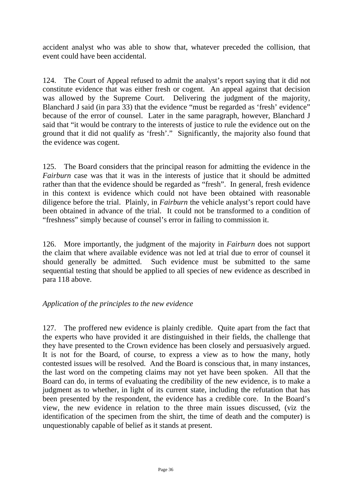accident analyst who was able to show that, whatever preceded the collision, that event could have been accidental.

124. The Court of Appeal refused to admit the analyst's report saying that it did not constitute evidence that was either fresh or cogent. An appeal against that decision was allowed by the Supreme Court. Delivering the judgment of the majority, Blanchard J said (in para 33) that the evidence "must be regarded as 'fresh' evidence" because of the error of counsel. Later in the same paragraph, however, Blanchard J said that "it would be contrary to the interests of justice to rule the evidence out on the ground that it did not qualify as 'fresh'." Significantly, the majority also found that the evidence was cogent.

125. The Board considers that the principal reason for admitting the evidence in the *Fairburn* case was that it was in the interests of justice that it should be admitted rather than that the evidence should be regarded as "fresh". In general, fresh evidence in this context is evidence which could not have been obtained with reasonable diligence before the trial. Plainly, in *Fairburn* the vehicle analyst's report could have been obtained in advance of the trial. It could not be transformed to a condition of "freshness" simply because of counsel's error in failing to commission it.

126. More importantly, the judgment of the majority in *Fairburn* does not support the claim that where available evidence was not led at trial due to error of counsel it should generally be admitted. Such evidence must be submitted to the same sequential testing that should be applied to all species of new evidence as described in para 118 above.

#### *Application of the principles to the new evidence*

127. The proffered new evidence is plainly credible. Quite apart from the fact that the experts who have provided it are distinguished in their fields, the challenge that they have presented to the Crown evidence has been closely and persuasively argued. It is not for the Board, of course, to express a view as to how the many, hotly contested issues will be resolved. And the Board is conscious that, in many instances, the last word on the competing claims may not yet have been spoken. All that the Board can do, in terms of evaluating the credibility of the new evidence, is to make a judgment as to whether, in light of its current state, including the refutation that has been presented by the respondent, the evidence has a credible core. In the Board's view, the new evidence in relation to the three main issues discussed, (viz the identification of the specimen from the shirt, the time of death and the computer) is unquestionably capable of belief as it stands at present.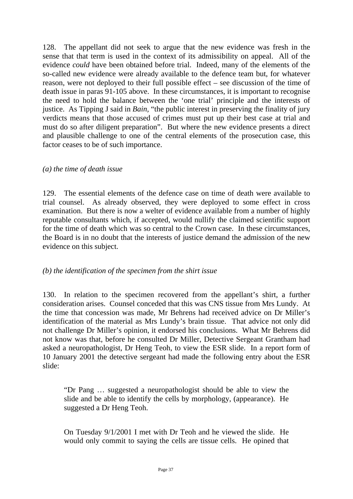128. The appellant did not seek to argue that the new evidence was fresh in the sense that that term is used in the context of its admissibility on appeal. All of the evidence *could* have been obtained before trial. Indeed, many of the elements of the so-called new evidence were already available to the defence team but, for whatever reason, were not deployed to their full possible effect – see discussion of the time of death issue in paras 91-105 above. In these circumstances, it is important to recognise the need to hold the balance between the 'one trial' principle and the interests of justice. As Tipping J said in *Bain,* "the public interest in preserving the finality of jury verdicts means that those accused of crimes must put up their best case at trial and must do so after diligent preparation". But where the new evidence presents a direct and plausible challenge to one of the central elements of the prosecution case, this factor ceases to be of such importance.

#### *(a) the time of death issue*

129. The essential elements of the defence case on time of death were available to trial counsel. As already observed, they were deployed to some effect in cross examination. But there is now a welter of evidence available from a number of highly reputable consultants which, if accepted, would nullify the claimed scientific support for the time of death which was so central to the Crown case. In these circumstances, the Board is in no doubt that the interests of justice demand the admission of the new evidence on this subject.

#### *(b) the identification of the specimen from the shirt issue*

130. In relation to the specimen recovered from the appellant's shirt, a further consideration arises. Counsel conceded that this was CNS tissue from Mrs Lundy. At the time that concession was made, Mr Behrens had received advice on Dr Miller's identification of the material as Mrs Lundy's brain tissue. That advice not only did not challenge Dr Miller's opinion, it endorsed his conclusions. What Mr Behrens did not know was that, before he consulted Dr Miller, Detective Sergeant Grantham had asked a neuropathologist, Dr Heng Teoh, to view the ESR slide. In a report form of 10 January 2001 the detective sergeant had made the following entry about the ESR slide:

"Dr Pang … suggested a neuropathologist should be able to view the slide and be able to identify the cells by morphology, (appearance). He suggested a Dr Heng Teoh.

On Tuesday 9/1/2001 I met with Dr Teoh and he viewed the slide. He would only commit to saying the cells are tissue cells. He opined that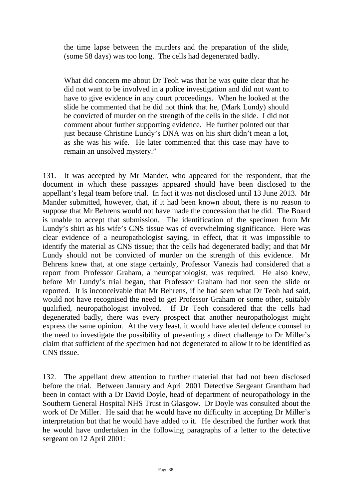the time lapse between the murders and the preparation of the slide, (some 58 days) was too long. The cells had degenerated badly.

What did concern me about Dr Teoh was that he was quite clear that he did not want to be involved in a police investigation and did not want to have to give evidence in any court proceedings. When he looked at the slide he commented that he did not think that he, (Mark Lundy) should be convicted of murder on the strength of the cells in the slide. I did not comment about further supporting evidence. He further pointed out that just because Christine Lundy's DNA was on his shirt didn't mean a lot, as she was his wife. He later commented that this case may have to remain an unsolved mystery."

131. It was accepted by Mr Mander, who appeared for the respondent, that the document in which these passages appeared should have been disclosed to the appellant's legal team before trial. In fact it was not disclosed until 13 June 2013. Mr Mander submitted, however, that, if it had been known about, there is no reason to suppose that Mr Behrens would not have made the concession that he did. The Board is unable to accept that submission. The identification of the specimen from Mr Lundy's shirt as his wife's CNS tissue was of overwhelming significance. Here was clear evidence of a neuropathologist saying, in effect, that it was impossible to identify the material as CNS tissue; that the cells had degenerated badly; and that Mr Lundy should not be convicted of murder on the strength of this evidence. Mr Behrens knew that, at one stage certainly, Professor Vanezis had considered that a report from Professor Graham, a neuropathologist, was required. He also knew, before Mr Lundy's trial began, that Professor Graham had not seen the slide or reported. It is inconceivable that Mr Behrens, if he had seen what Dr Teoh had said, would not have recognised the need to get Professor Graham or some other, suitably qualified, neuropathologist involved. If Dr Teoh considered that the cells had degenerated badly, there was every prospect that another neuropathologist might express the same opinion. At the very least, it would have alerted defence counsel to the need to investigate the possibility of presenting a direct challenge to Dr Miller's claim that sufficient of the specimen had not degenerated to allow it to be identified as CNS tissue.

132. The appellant drew attention to further material that had not been disclosed before the trial. Between January and April 2001 Detective Sergeant Grantham had been in contact with a Dr David Doyle, head of department of neuropathology in the Southern General Hospital NHS Trust in Glasgow. Dr Doyle was consulted about the work of Dr Miller. He said that he would have no difficulty in accepting Dr Miller's interpretation but that he would have added to it. He described the further work that he would have undertaken in the following paragraphs of a letter to the detective sergeant on 12 April 2001: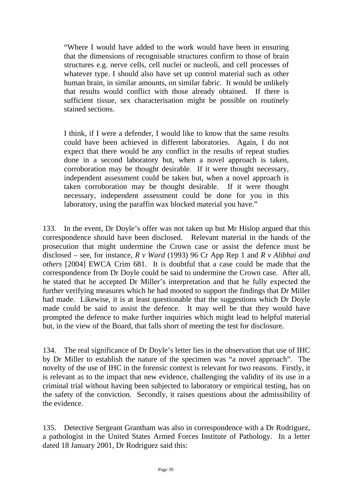"Where I would have added to the work would have been in ensuring that the dimensions of recognisable structures confirm to those of brain structures e.g. nerve cells, cell nuclei or nucleoli, and cell processes of whatever type. I should also have set up control material such as other human brain, in similar amounts, on similar fabric. It would be unlikely that results would conflict with those already obtained. If there is sufficient tissue, sex characterisation might be possible on routinely stained sections.

I think, if I were a defender, I would like to know that the same results could have been achieved in different laboratories. Again, I do not expect that there would be any conflict in the results of repeat studies done in a second laboratory but, when a novel approach is taken, corroboration may be thought desirable. If it were thought necessary, independent assessment could be taken but, when a novel approach is taken corroboration may be thought desirable. If it were thought necessary, independent assessment could be done for you in this laboratory, using the paraffin wax blocked material you have."

133. In the event, Dr Doyle's offer was not taken up but Mr Hislop argued that this correspondence should have been disclosed. Relevant material in the hands of the prosecution that might undermine the Crown case or assist the defence must be disclosed – see, for instance, *R v Ward* (1993) 96 Cr App Rep 1 and *R v Alibhai and others* [2004] EWCA Crim 681. It is doubtful that a case could be made that the correspondence from Dr Doyle could be said to undermine the Crown case. After all, he stated that he accepted Dr Miller's interpretation and that he fully expected the further verifying measures which he had mooted to support the findings that Dr Miller had made. Likewise, it is at least questionable that the suggestions which Dr Doyle made could be said to assist the defence. It may well be that they would have prompted the defence to make further inquiries which might lead to helpful material but, in the view of the Board, that falls short of meeting the test for disclosure.

134. The real significance of Dr Doyle's letter lies in the observation that use of IHC by Dr Miller to establish the nature of the specimen was "a novel approach". The novelty of the use of IHC in the forensic context is relevant for two reasons. Firstly, it is relevant as to the impact that new evidence, challenging the validity of its use in a criminal trial without having been subjected to laboratory or empirical testing, has on the safety of the conviction. Secondly, it raises questions about the admissibility of the evidence.

135. Detective Sergeant Grantham was also in correspondence with a Dr Rodriguez, a pathologist in the United States Armed Forces Institute of Pathology. In a letter dated 18 January 2001, Dr Rodriguez said this: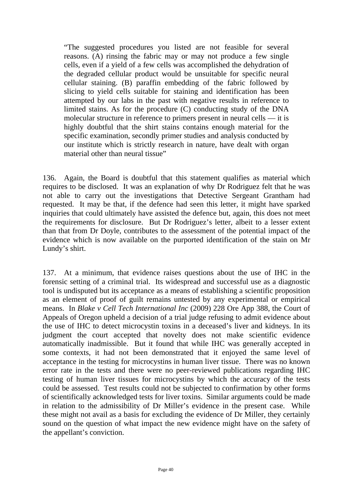"The suggested procedures you listed are not feasible for several reasons. (A) rinsing the fabric may or may not produce a few single cells, even if a yield of a few cells was accomplished the dehydration of the degraded cellular product would be unsuitable for specific neural cellular staining. (B) paraffin embedding of the fabric followed by slicing to yield cells suitable for staining and identification has been attempted by our labs in the past with negative results in reference to limited stains. As for the procedure (C) conducting study of the DNA molecular structure in reference to primers present in neural cells — it is highly doubtful that the shirt stains contains enough material for the specific examination, secondly primer studies and analysis conducted by our institute which is strictly research in nature, have dealt with organ material other than neural tissue"

136. Again, the Board is doubtful that this statement qualifies as material which requires to be disclosed. It was an explanation of why Dr Rodriguez felt that he was not able to carry out the investigations that Detective Sergeant Grantham had requested. It may be that, if the defence had seen this letter, it might have sparked inquiries that could ultimately have assisted the defence but, again, this does not meet the requirements for disclosure. But Dr Rodriguez's letter, albeit to a lesser extent than that from Dr Doyle, contributes to the assessment of the potential impact of the evidence which is now available on the purported identification of the stain on Mr Lundy's shirt.

137. At a minimum, that evidence raises questions about the use of IHC in the forensic setting of a criminal trial. Its widespread and successful use as a diagnostic tool is undisputed but its acceptance as a means of establishing a scientific proposition as an element of proof of guilt remains untested by any experimental or empirical means. In *Blake v Cell Tech International Inc* (2009) 228 Ore App 388, the Court of Appeals of Oregon upheld a decision of a trial judge refusing to admit evidence about the use of IHC to detect microcystin toxins in a deceased's liver and kidneys. In its judgment the court accepted that novelty does not make scientific evidence automatically inadmissible. But it found that while IHC was generally accepted in some contexts, it had not been demonstrated that it enjoyed the same level of acceptance in the testing for microcystins in human liver tissue. There was no known error rate in the tests and there were no peer-reviewed publications regarding IHC testing of human liver tissues for microcystins by which the accuracy of the tests could be assessed. Test results could not be subjected to confirmation by other forms of scientifically acknowledged tests for liver toxins. Similar arguments could be made in relation to the admissibility of Dr Miller's evidence in the present case. While these might not avail as a basis for excluding the evidence of Dr Miller, they certainly sound on the question of what impact the new evidence might have on the safety of the appellant's conviction.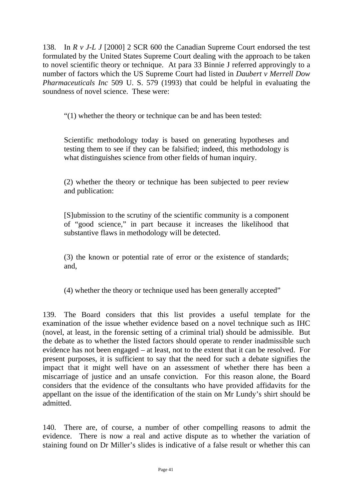138. In *R v J-L J* [2000] 2 SCR 600 the Canadian Supreme Court endorsed the test formulated by the United States Supreme Court dealing with the approach to be taken to novel scientific theory or technique. At para 33 Binnie J referred approvingly to a number of factors which the US Supreme Court had listed in *Daubert v Merrell Dow Pharmaceuticals Inc* 509 U. S. 579 (1993) that could be helpful in evaluating the soundness of novel science. These were:

"(1) whether the theory or technique can be and has been tested:

Scientific methodology today is based on generating hypotheses and testing them to see if they can be falsified; indeed, this methodology is what distinguishes science from other fields of human inquiry.

(2) whether the theory or technique has been subjected to peer review and publication:

[S]ubmission to the scrutiny of the scientific community is a component of "good science," in part because it increases the likelihood that substantive flaws in methodology will be detected.

(3) the known or potential rate of error or the existence of standards; and,

(4) whether the theory or technique used has been generally accepted"

139. The Board considers that this list provides a useful template for the examination of the issue whether evidence based on a novel technique such as IHC (novel, at least, in the forensic setting of a criminal trial) should be admissible. But the debate as to whether the listed factors should operate to render inadmissible such evidence has not been engaged – at least, not to the extent that it can be resolved. For present purposes, it is sufficient to say that the need for such a debate signifies the impact that it might well have on an assessment of whether there has been a miscarriage of justice and an unsafe conviction. For this reason alone, the Board considers that the evidence of the consultants who have provided affidavits for the appellant on the issue of the identification of the stain on Mr Lundy's shirt should be admitted.

140. There are, of course, a number of other compelling reasons to admit the evidence. There is now a real and active dispute as to whether the variation of staining found on Dr Miller's slides is indicative of a false result or whether this can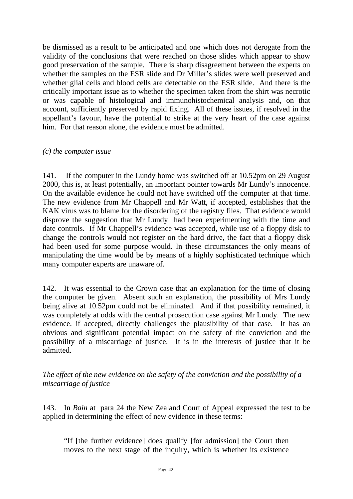be dismissed as a result to be anticipated and one which does not derogate from the validity of the conclusions that were reached on those slides which appear to show good preservation of the sample. There is sharp disagreement between the experts on whether the samples on the ESR slide and Dr Miller's slides were well preserved and whether glial cells and blood cells are detectable on the ESR slide. And there is the critically important issue as to whether the specimen taken from the shirt was necrotic or was capable of histological and immunohistochemical analysis and, on that account, sufficiently preserved by rapid fixing. All of these issues, if resolved in the appellant's favour, have the potential to strike at the very heart of the case against him. For that reason alone, the evidence must be admitted.

#### *(c) the computer issue*

 2000, this is, at least potentially, an important pointer towards Mr Lundy's innocence. On the available evidence he could not have switched off the computer at that time. 141. If the computer in the Lundy home was switched off at 10.52pm on 29 August The new evidence from Mr Chappell and Mr Watt, if accepted, establishes that the KAK virus was to blame for the disordering of the registry files. That evidence would disprove the suggestion that Mr Lundy had been experimenting with the time and date controls. If Mr Chappell's evidence was accepted, while use of a floppy disk to change the controls would not register on the hard drive, the fact that a floppy disk had been used for some purpose would. In these circumstances the only means of manipulating the time would be by means of a highly sophisticated technique which many computer experts are unaware of.

142. It was essential to the Crown case that an explanation for the time of closing the computer be given. Absent such an explanation, the possibility of Mrs Lundy being alive at 10.52pm could not be eliminated. And if that possibility remained, it was completely at odds with the central prosecution case against Mr Lundy. The new evidence, if accepted, directly challenges the plausibility of that case. It has an obvious and significant potential impact on the safety of the conviction and the possibility of a miscarriage of justice. It is in the interests of justice that it be admitted.

*The effect of the new evidence on the safety of the conviction and the possibility of a miscarriage of justice* 

143. In *Bain* at para 24 the New Zealand Court of Appeal expressed the test to be applied in determining the effect of new evidence in these terms:

"If [the further evidence] does qualify [for admission] the Court then moves to the next stage of the inquiry, which is whether its existence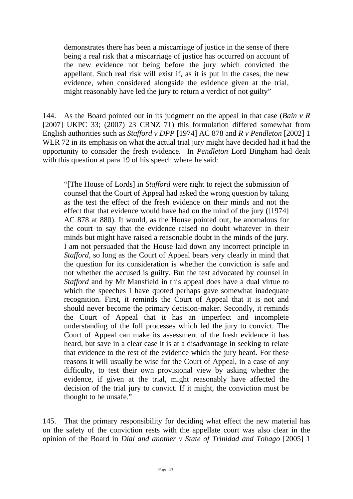demonstrates there has been a miscarriage of justice in the sense of there being a real risk that a miscarriage of justice has occurred on account of the new evidence not being before the jury which convicted the appellant. Such real risk will exist if, as it is put in the cases, the new evidence, when considered alongside the evidence given at the trial, might reasonably have led the jury to return a verdict of not guilty"

144. As the Board pointed out in its judgment on the appeal in that case (*Bain v R*  [2007] UKPC 33; (2007) 23 CRNZ 71) this formulation differed somewhat from English authorities such as *Stafford v DPP* [1974] AC 878 and *R v Pendleton* [2002] 1 WLR 72 in its emphasis on what the actual trial jury might have decided had it had the opportunity to consider the fresh evidence. In *Pendleton* Lord Bingham had dealt with this question at para 19 of his speech where he said:

"[The House of Lords] in *Stafford* were right to reject the submission of counsel that the Court of Appeal had asked the wrong question by taking as the test the effect of the fresh evidence on their minds and not the effect that that evidence would have had on the mind of the jury ([1974] AC 878 at 880). It would, as the House pointed out, be anomalous for the court to say that the evidence raised no doubt whatever in their minds but might have raised a reasonable doubt in the minds of the jury. I am not persuaded that the House laid down any incorrect principle in *Stafford,* so long as the Court of Appeal bears very clearly in mind that the question for its consideration is whether the conviction is safe and not whether the accused is guilty. But the test advocated by counsel in *Stafford* and by Mr Mansfield in this appeal does have a dual virtue to which the speeches I have quoted perhaps gave somewhat inadequate recognition. First, it reminds the Court of Appeal that it is not and should never become the primary decision-maker. Secondly, it reminds the Court of Appeal that it has an imperfect and incomplete understanding of the full processes which led the jury to convict. The Court of Appeal can make its assessment of the fresh evidence it has heard, but save in a clear case it is at a disadvantage in seeking to relate that evidence to the rest of the evidence which the jury heard. For these reasons it will usually be wise for the Court of Appeal, in a case of any difficulty, to test their own provisional view by asking whether the evidence, if given at the trial, might reasonably have affected the decision of the trial jury to convict. If it might, the conviction must be thought to be unsafe."

145. That the primary responsibility for deciding what effect the new material has on the safety of the conviction rests with the appellate court was also clear in the opinion of the Board in *Dial and another v State of Trinidad and Tobago* [2005] 1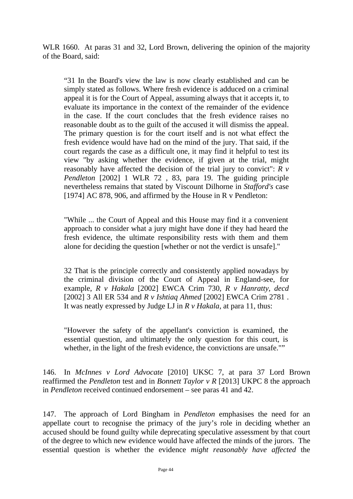WLR 1660. At paras 31 and 32, Lord Brown, delivering the opinion of the majority of the Board, said:

"31 In the Board's view the law is now clearly established and can be simply stated as follows. Where fresh evidence is adduced on a criminal appeal it is for the Court of Appeal, assuming always that it accepts it, to evaluate its importance in the context of the remainder of the evidence in the case. If the court concludes that the fresh evidence raises no reasonable doubt as to the guilt of the accused it will dismiss the appeal. The primary question is for the court itself and is not what effect the fresh evidence would have had on the mind of the jury. That said, if the court regards the case as a difficult one, it may find it helpful to test its view "by asking whether the evidence, if given at the trial, might reasonably have affected the decision of the trial jury to convict": *R v Pendleton* [2002] 1 WLR 72 , 83, para 19. The guiding principle nevertheless remains that stated by Viscount Dilhorne in *Stafford's* case [1974] AC 878, 906, and affirmed by the House in R v Pendleton:

"While ... the Court of Appeal and this House may find it a convenient approach to consider what a jury might have done if they had heard the fresh evidence, the ultimate responsibility rests with them and them alone for deciding the question [whether or not the verdict is unsafe]."

32 That is the principle correctly and consistently applied nowadays by the criminal division of the Court of Appeal in England-see, for example, *R v Hakala* [2002] EWCA Crim 730, *R v Hanratty, decd*  [2002] 3 All ER 534 and *R v Ishtiaq Ahmed* [2002] EWCA Crim 2781 . It was neatly expressed by Judge LJ in *R v Hakala*, at para 11, thus:

"However the safety of the appellant's conviction is examined, the essential question, and ultimately the only question for this court, is whether, in the light of the fresh evidence, the convictions are unsafe.""

146. In *McInnes v Lord Advocate* [2010] UKSC 7, at para 37 Lord Brown reaffirmed the *Pendleton* test and in *Bonnett Taylor v R* [2013] UKPC 8 the approach in *Pendleton* received continued endorsement – see paras 41 and 42.

147. The approach of Lord Bingham in *Pendleton* emphasises the need for an appellate court to recognise the primacy of the jury's role in deciding whether an accused should be found guilty while deprecating speculative assessment by that court of the degree to which new evidence would have affected the minds of the jurors. The essential question is whether the evidence *might reasonably have affected* the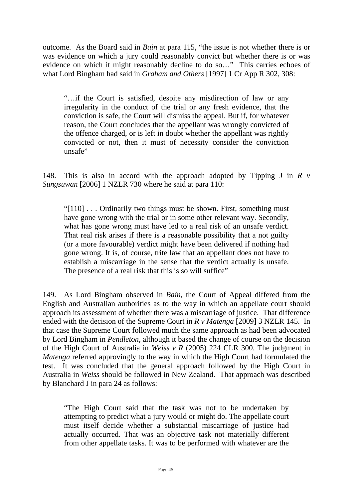outcome. As the Board said in *Bain* at para 115, "the issue is not whether there is or was evidence on which a jury could reasonably convict but whether there is or was evidence on which it might reasonably decline to do so…" This carries echoes of what Lord Bingham had said in *Graham and Others* [1997] 1 Cr App R 302, 308:

"…if the Court is satisfied, despite any misdirection of law or any irregularity in the conduct of the trial or any fresh evidence, that the conviction is safe, the Court will dismiss the appeal. But if, for whatever reason, the Court concludes that the appellant was wrongly convicted of the offence charged, or is left in doubt whether the appellant was rightly convicted or not, then it must of necessity consider the conviction unsafe"

148. This is also in accord with the approach adopted by Tipping J in *R v Sungsuwan* [2006] 1 NZLR 730 where he said at para 110:

"[110] . . . Ordinarily two things must be shown. First, something must have gone wrong with the trial or in some other relevant way. Secondly, what has gone wrong must have led to a real risk of an unsafe verdict. That real risk arises if there is a reasonable possibility that a not guilty (or a more favourable) verdict might have been delivered if nothing had gone wrong. It is, of course, trite law that an appellant does not have to establish a miscarriage in the sense that the verdict actually is unsafe. The presence of a real risk that this is so will suffice"

149. As Lord Bingham observed in *Bain,* the Court of Appeal differed from the English and Australian authorities as to the way in which an appellate court should approach its assessment of whether there was a miscarriage of justice. That difference ended with the decision of the Supreme Court in *R v Matenga* [2009] 3 NZLR 145. In that case the Supreme Court followed much the same approach as had been advocated by Lord Bingham in *Pendleton*, although it based the change of course on the decision of the High Court of Australia in *Weiss v R* (2005) 224 CLR 300. The judgment in *Matenga* referred approvingly to the way in which the High Court had formulated the test. It was concluded that the general approach followed by the High Court in Australia in *Weiss* should be followed in New Zealand. That approach was described by Blanchard J in para 24 as follows:

"The High Court said that the task was not to be undertaken by attempting to predict what a jury would or might do. The appellate court must itself decide whether a substantial miscarriage of justice had actually occurred. That was an objective task not materially different from other appellate tasks. It was to be performed with whatever are the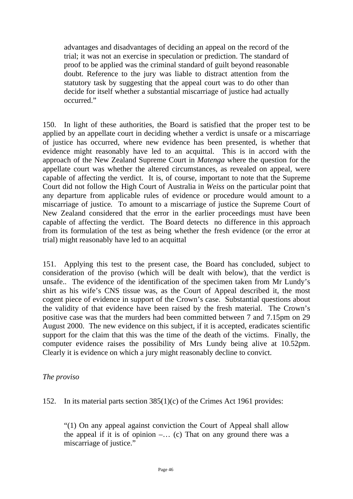advantages and disadvantages of deciding an appeal on the record of the trial; it was not an exercise in speculation or prediction. The standard of proof to be applied was the criminal standard of guilt beyond reasonable doubt. Reference to the jury was liable to distract attention from the statutory task by suggesting that the appeal court was to do other than decide for itself whether a substantial miscarriage of justice had actually occurred."

150. In light of these authorities, the Board is satisfied that the proper test to be applied by an appellate court in deciding whether a verdict is unsafe or a miscarriage of justice has occurred, where new evidence has been presented, is whether that evidence might reasonably have led to an acquittal. This is in accord with the approach of the New Zealand Supreme Court in *Matenga* where the question for the appellate court was whether the altered circumstances, as revealed on appeal, were capable of affecting the verdict. It is, of course, important to note that the Supreme Court did not follow the High Court of Australia in *Weiss* on the particular point that any departure from applicable rules of evidence or procedure would amount to a miscarriage of justice*.* To amount to a miscarriage of justice the Supreme Court of New Zealand considered that the error in the earlier proceedings must have been capable of affecting the verdict. The Board detects no difference in this approach from its formulation of the test as being whether the fresh evidence (or the error at trial) might reasonably have led to an acquittal

151. Applying this test to the present case, the Board has concluded, subject to consideration of the proviso (which will be dealt with below), that the verdict is unsafe.. The evidence of the identification of the specimen taken from Mr Lundy's shirt as his wife's CNS tissue was, as the Court of Appeal described it, the most cogent piece of evidence in support of the Crown's case. Substantial questions about the validity of that evidence have been raised by the fresh material. The Crown's positive case was that the murders had been committed between 7 and 7.15pm on 29 August 2000. The new evidence on this subject, if it is accepted, eradicates scientific support for the claim that this was the time of the death of the victims. Finally, the computer evidence raises the possibility of Mrs Lundy being alive at 10.52pm. Clearly it is evidence on which a jury might reasonably decline to convict.

#### *The proviso*

152. In its material parts section 385(1)(c) of the Crimes Act 1961 provides:

"(1) On any appeal against conviction the Court of Appeal shall allow the appeal if it is of opinion  $-$ ... (c) That on any ground there was a miscarriage of justice."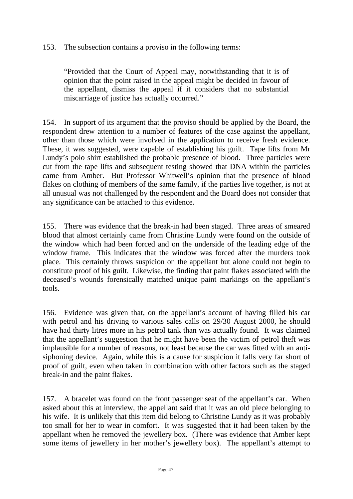#### 153. The subsection contains a proviso in the following terms:

"Provided that the Court of Appeal may, notwithstanding that it is of opinion that the point raised in the appeal might be decided in favour of the appellant, dismiss the appeal if it considers that no substantial miscarriage of justice has actually occurred."

154. In support of its argument that the proviso should be applied by the Board, the respondent drew attention to a number of features of the case against the appellant, other than those which were involved in the application to receive fresh evidence. These, it was suggested, were capable of establishing his guilt. Tape lifts from Mr Lundy's polo shirt established the probable presence of blood. Three particles were cut from the tape lifts and subsequent testing showed that DNA within the particles came from Amber. But Professor Whitwell's opinion that the presence of blood flakes on clothing of members of the same family, if the parties live together, is not at all unusual was not challenged by the respondent and the Board does not consider that any significance can be attached to this evidence.

155. There was evidence that the break-in had been staged. Three areas of smeared blood that almost certainly came from Christine Lundy were found on the outside of the window which had been forced and on the underside of the leading edge of the window frame. This indicates that the window was forced after the murders took place. This certainly throws suspicion on the appellant but alone could not begin to constitute proof of his guilt. Likewise, the finding that paint flakes associated with the deceased's wounds forensically matched unique paint markings on the appellant's tools.

156. Evidence was given that, on the appellant's account of having filled his car with petrol and his driving to various sales calls on 29/30 August 2000, he should have had thirty litres more in his petrol tank than was actually found. It was claimed that the appellant's suggestion that he might have been the victim of petrol theft was implausible for a number of reasons, not least because the car was fitted with an antisiphoning device. Again, while this is a cause for suspicion it falls very far short of proof of guilt, even when taken in combination with other factors such as the staged break-in and the paint flakes.

157. A bracelet was found on the front passenger seat of the appellant's car. When asked about this at interview, the appellant said that it was an old piece belonging to his wife. It is unlikely that this item did belong to Christine Lundy as it was probably too small for her to wear in comfort. It was suggested that it had been taken by the appellant when he removed the jewellery box. (There was evidence that Amber kept some items of jewellery in her mother's jewellery box). The appellant's attempt to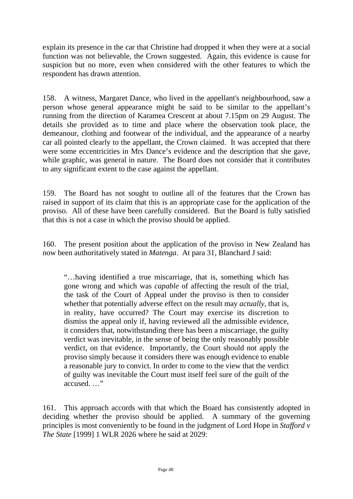explain its presence in the car that Christine had dropped it when they were at a social function was not believable, the Crown suggested. Again, this evidence is cause for suspicion but no more, even when considered with the other features to which the respondent has drawn attention.

158. A witness, Margaret Dance, who lived in the appellant's neighbourhood, saw a person whose general appearance might be said to be similar to the appellant's running from the direction of Karamea Crescent at about 7.15pm on 29 August. The details she provided as to time and place where the observation took place, the demeanour, clothing and footwear of the individual, and the appearance of a nearby car all pointed clearly to the appellant, the Crown claimed. It was accepted that there were some eccentricities in Mrs Dance's evidence and the description that she gave, while graphic, was general in nature. The Board does not consider that it contributes to any significant extent to the case against the appellant.

159. The Board has not sought to outline all of the features that the Crown has raised in support of its claim that this is an appropriate case for the application of the proviso. All of these have been carefully considered. But the Board is fully satisfied that this is not a case in which the proviso should be applied.

160. The present position about the application of the proviso in New Zealand has now been authoritatively stated in *Matenga*. At para 31, Blanchard J said:

"…having identified a true miscarriage, that is, something which has gone wrong and which was *capable* of affecting the result of the trial, the task of the Court of Appeal under the proviso is then to consider whether that potentially adverse effect on the result may *actually,* that is, in reality, have occurred? The Court may exercise its discretion to dismiss the appeal only if, having reviewed all the admissible evidence, it considers that, notwithstanding there has been a miscarriage, the guilty verdict was inevitable, in the sense of being the only reasonably possible verdict, on that evidence. Importantly, the Court should not apply the proviso simply because it considers there was enough evidence to enable a reasonable jury to convict. In order to come to the view that the verdict of guilty was inevitable the Court must itself feel sure of the guilt of the accused. …"

161. This approach accords with that which the Board has consistently adopted in deciding whether the proviso should be applied. A summary of the governing principles is most conveniently to be found in the judgment of Lord Hope in *Stafford v The State* [1999] 1 WLR 2026 where he said at 2029: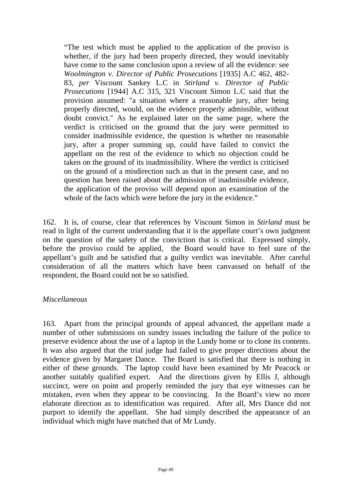"The test which must be applied to the application of the proviso is whether, if the jury had been properly directed, they would inevitably have come to the same conclusion upon a review of all the evidence: see *Woolmington v. Director of Public Prosecutions* [1935] A.C 462, 482- 83, *per* Viscount Sankey L.C in *Stirland v. Director of Public Prosecutions* [1944] A.C 315, 321 Viscount Simon L.C said that the provision assumed: "a situation where a reasonable jury, after being properly directed, would, on the evidence properly admissible, without doubt convict." As he explained later on the same page, where the verdict is criticised on the ground that the jury were permitted to consider inadmissible evidence, the question is whether no reasonable jury, after a proper summing up, could have failed to convict the appellant on the rest of the evidence to which no objection could be taken on the ground of its inadmissibility. Where the verdict is criticised on the ground of a misdirection such as that in the present case, and no question has been raised about the admission of inadmissible evidence, the application of the proviso will depend upon an examination of the whole of the facts which were before the jury in the evidence."

162. It is, of course, clear that references by Viscount Simon in *Stirland* must be read in light of the current understanding that it is the appellate court's own judgment on the question of the safety of the conviction that is critical. Expressed simply, before the proviso could be applied, the Board would have to feel sure of the appellant's guilt and be satisfied that a guilty verdict was inevitable. After careful consideration of all the matters which have been canvassed on behalf of the respondent, the Board could not be so satisfied.

#### *Miscellaneous*

163. Apart from the principal grounds of appeal advanced, the appellant made a number of other submissions on sundry issues including the failure of the police to preserve evidence about the use of a laptop in the Lundy home or to clone its contents. It was also argued that the trial judge had failed to give proper directions about the evidence given by Margaret Dance. The Board is satisfied that there is nothing in either of these grounds. The laptop could have been examined by Mr Peacock or another suitably qualified expert. And the directions given by Ellis J, although succinct, were on point and properly reminded the jury that eye witnesses can be mistaken, even when they appear to be convincing. In the Board's view no more elaborate direction as to identification was required. After all, Mrs Dance did not purport to identify the appellant. She had simply described the appearance of an individual which might have matched that of Mr Lundy.